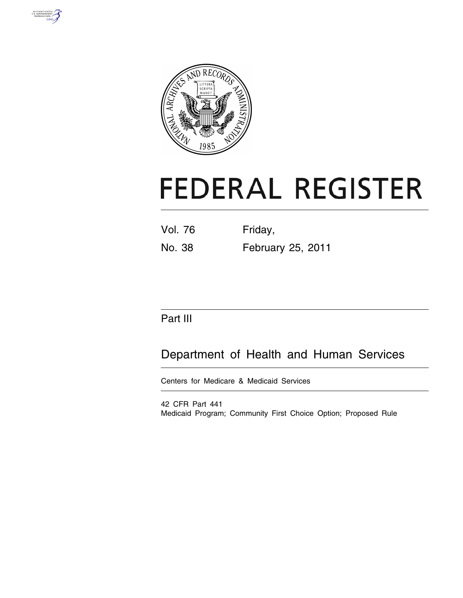



# **FEDERAL REGISTER**

| <b>Vol. 76</b> | Friday,           |
|----------------|-------------------|
| No. 38         | February 25, 2011 |

## Part III

## Department of Health and Human Services

Centers for Medicare & Medicaid Services

42 CFR Part 441 Medicaid Program; Community First Choice Option; Proposed Rule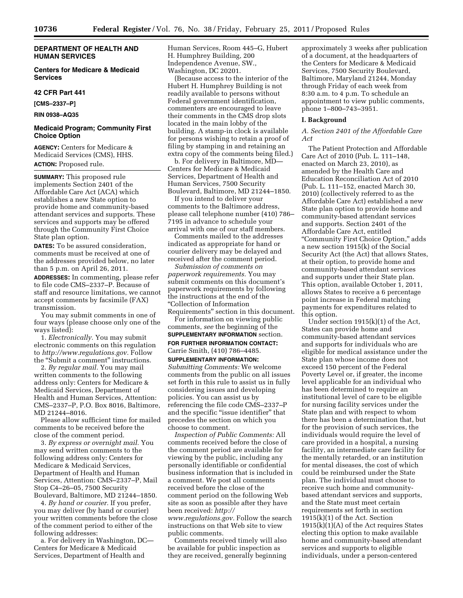#### **DEPARTMENT OF HEALTH AND HUMAN SERVICES**

**Centers for Medicare & Medicaid Services** 

#### **42 CFR Part 441**

**[CMS–2337–P]** 

**RIN 0938–AQ35** 

#### **Medicaid Program; Community First Choice Option**

**AGENCY:** Centers for Medicare & Medicaid Services (CMS), HHS. **ACTION:** Proposed rule.

**SUMMARY:** This proposed rule implements Section 2401 of the Affordable Care Act (ACA) which establishes a new State option to provide home and community-based attendant services and supports. These services and supports may be offered through the Community First Choice State plan option.

**DATES:** To be assured consideration, comments must be received at one of the addresses provided below, no later than 5 p.m. on April 26, 2011.

**ADDRESSES:** In commenting, please refer to file code CMS–2337–P. Because of staff and resource limitations, we cannot accept comments by facsimile (FAX) transmission.

You may submit comments in one of four ways (please choose only one of the ways listed):

1. *Electronically.* You may submit electronic comments on this regulation to *[http://www.regulations.gov.](http://www.regulations.gov)* Follow the "Submit a comment" instructions.

2. *By regular mail.* You may mail written comments to the following address only: Centers for Medicare & Medicaid Services, Department of Health and Human Services, Attention: CMS–2337–P, P.O. Box 8016, Baltimore, MD 21244–8016.

Please allow sufficient time for mailed comments to be received before the close of the comment period.

3. *By express or overnight mail.* You may send written comments to the following address only: Centers for Medicare & Medicaid Services, Department of Health and Human Services, Attention: CMS–2337–P, Mail Stop C4–26–05, 7500 Security Boulevard, Baltimore, MD 21244–1850.

4. *By hand or courier.* If you prefer, you may deliver (by hand or courier) your written comments before the close of the comment period to either of the following addresses:

a. For delivery in Washington, DC— Centers for Medicare & Medicaid Services, Department of Health and

Human Services, Room 445–G, Hubert H. Humphrey Building, 200 Independence Avenue, SW., Washington, DC 20201.

(Because access to the interior of the Hubert H. Humphrey Building is not readily available to persons without Federal government identification, commenters are encouraged to leave their comments in the CMS drop slots located in the main lobby of the building. A stamp-in clock is available for persons wishing to retain a proof of filing by stamping in and retaining an extra copy of the comments being filed.)

b. For delivery in Baltimore, MD— Centers for Medicare & Medicaid Services, Department of Health and Human Services, 7500 Security Boulevard, Baltimore, MD 21244–1850.

If you intend to deliver your comments to the Baltimore address, please call telephone number (410) 786– 7195 in advance to schedule your arrival with one of our staff members.

Comments mailed to the addresses indicated as appropriate for hand or courier delivery may be delayed and received after the comment period.

*Submission of comments on paperwork requirements.* You may submit comments on this document's paperwork requirements by following the instructions at the end of the ''Collection of Information

Requirements'' section in this document. For information on viewing public

comments, *see* the beginning of the **SUPPLEMENTARY INFORMATION** section.

**FOR FURTHER INFORMATION CONTACT:**  Carrie Smith, (410) 786–4485.

#### **SUPPLEMENTARY INFORMATION:**

*Submitting Comments:* We welcome comments from the public on all issues set forth in this rule to assist us in fully considering issues and developing policies. You can assist us by referencing the file code CMS–2337–P and the specific "issue identifier" that precedes the section on which you choose to comment.

*Inspection of Public Comments:* All comments received before the close of the comment period are available for viewing by the public, including any personally identifiable or confidential business information that is included in a comment. We post all comments received before the close of the comment period on the following Web site as soon as possible after they have been received: *[http://](http://www.regulations.gov) [www.regulations.gov.](http://www.regulations.gov)* Follow the search instructions on that Web site to view public comments.

Comments received timely will also be available for public inspection as they are received, generally beginning

approximately 3 weeks after publication of a document, at the headquarters of the Centers for Medicare & Medicaid Services, 7500 Security Boulevard, Baltimore, Maryland 21244, Monday through Friday of each week from 8:30 a.m. to 4 p.m. To schedule an appointment to view public comments, phone 1–800–743–3951.

#### **I. Background**

*A. Section 2401 of the Affordable Care Act* 

The Patient Protection and Affordable Care Act of 2010 (Pub. L. 111–148, enacted on March 23, 2010), as amended by the Health Care and Education Reconciliation Act of 2010 (Pub. L. 111–152, enacted March 30, 2010) (collectively referred to as the Affordable Care Act) established a new State plan option to provide home and community-based attendant services and supports. Section 2401 of the Affordable Care Act, entitled ''Community First Choice Option,'' adds a new section 1915(k) of the Social Security Act (the Act) that allows States, at their option, to provide home and community-based attendant services and supports under their State plan. This option, available October 1, 2011, allows States to receive a 6 percentage point increase in Federal matching payments for expenditures related to this option.

Under section 1915(k)(1) of the Act, States can provide home and community-based attendant services and supports for individuals who are eligible for medical assistance under the State plan whose income does not exceed 150 percent of the Federal Poverty Level or, if greater, the income level applicable for an individual who has been determined to require an institutional level of care to be eligible for nursing facility services under the State plan and with respect to whom there has been a determination that, but for the provision of such services, the individuals would require the level of care provided in a hospital, a nursing facility, an intermediate care facility for the mentally retarded, or an institution for mental diseases, the cost of which could be reimbursed under the State plan. The individual must choose to receive such home and communitybased attendant services and supports, and the State must meet certain requirements set forth in section 1915(k)(1) of the Act. Section 1915(k)(1)(A) of the Act requires States electing this option to make available home and community-based attendant services and supports to eligible individuals, under a person-centered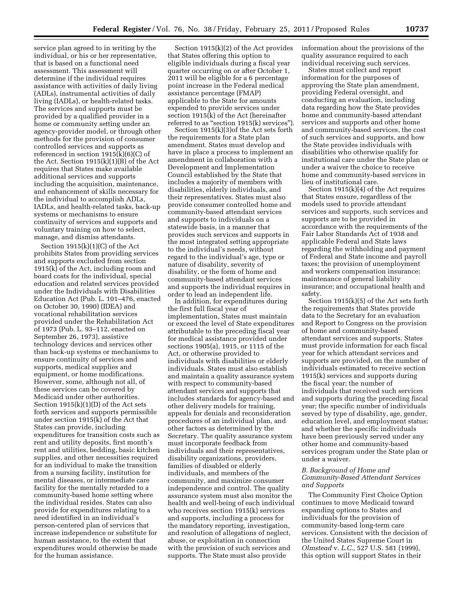service plan agreed to in writing by the individual, or his or her representative, that is based on a functional need assessment. This assessment will determine if the individual requires assistance with activities of daily living (ADLs), instrumental activities of daily living (IADLs), or health-related tasks. The services and supports must be provided by a qualified provider in a home or community setting under an agency-provider model, or through other methods for the provision of consumer controlled services and supports as referenced in section 1915(k)(6)(C) of the Act. Section 1915(k)(1)(B) of the Act requires that States make available additional services and supports including the acquisition, maintenance, and enhancement of skills necessary for the individual to accomplish ADLs, IADLs, and health-related tasks, back-up systems or mechanisms to ensure continuity of services and supports and voluntary training on how to select, manage, and dismiss attendants.

Section 1915(k)(1)(C) of the Act prohibits States from providing services and supports excluded from section 1915(k) of the Act, including room and board costs for the individual, special education and related services provided under the Individuals with Disabilities Education Act (Pub. L. 101–476, enacted on October 30, 1990) (IDEA) and vocational rehabilitation services provided under the Rehabilitation Act of 1973 (Pub. L. 93–112, enacted on September 26, 1973), assistive technology devices and services other than back-up systems or mechanisms to ensure continuity of services and supports, medical supplies and equipment, or home modifications. However, some, although not all, of these services can be covered by Medicaid under other authorities. Section 1915(k)(1)(D) of the Act sets forth services and supports permissible under section 1915(k) of the Act that States can provide, including expenditures for transition costs such as rent and utility deposits, first month's rent and utilities, bedding, basic kitchen supplies, and other necessities required for an individual to make the transition from a nursing facility, institution for mental diseases, or intermediate care facility for the mentally retarded to a community-based home setting where the individual resides. States can also provide for expenditures relating to a need identified in an individual's person-centered plan of services that increase independence or substitute for human assistance, to the extent that expenditures would otherwise be made for the human assistance.

Section 1915(k)(2) of the Act provides that States offering this option to eligible individuals during a fiscal year quarter occurring on or after October 1, 2011 will be eligible for a 6 percentage point increase in the Federal medical assistance percentage (FMAP) applicable to the State for amounts expended to provide services under section 1915(k) of the Act (hereinafter referred to as "section 1915(k) services").

Section 1915(k)(3)of the Act sets forth the requirements for a State plan amendment. States must develop and have in place a process to implement an amendment in collaboration with a Development and Implementation Council established by the State that includes a majority of members with disabilities, elderly individuals, and their representatives. States must also provide consumer controlled home and community-based attendant services and supports to individuals on a statewide basis, in a manner that provides such services and supports in the most integrated setting appropriate to the individual's needs, without regard to the individual's age, type or nature of disability, severity of disability, or the form of home and community-based attendant services and supports the individual requires in order to lead an independent life.

In addition, for expenditures during the first full fiscal year of implementation, States must maintain or exceed the level of State expenditures attributable to the preceding fiscal year for medical assistance provided under sections 1905(a), 1915, or 1115 of the Act, or otherwise provided to individuals with disabilities or elderly individuals. States must also establish and maintain a quality assurance system with respect to community-based attendant services and supports that includes standards for agency-based and other delivery models for training, appeals for denials and reconsideration procedures of an individual plan, and other factors as determined by the Secretary. The quality assurance system must incorporate feedback from individuals and their representatives, disability organizations, providers, families of disabled or elderly individuals, and members of the community, and maximize consumer independence and control. The quality assurance system must also monitor the health and well-being of each individual who receives section 1915(k) services and supports, including a process for the mandatory reporting, investigation, and resolution of allegations of neglect, abuse, or exploitation in connection with the provision of such services and supports. The State must also provide

information about the provisions of the quality assurance required to each individual receiving such services.

States must collect and report information for the purposes of approving the State plan amendment, providing Federal oversight, and conducting an evaluation, including data regarding how the State provides home and community-based attendant services and supports and other home and community-based services, the cost of such services and supports, and how the State provides individuals with disabilities who otherwise qualify for institutional care under the State plan or under a waiver the choice to receive home and community-based services in lieu of institutional care.

Section 1915(k)(4) of the Act requires that States ensure, regardless of the models used to provide attendant services and supports, such services and supports are to be provided in accordance with the requirements of the Fair Labor Standards Act of 1938 and applicable Federal and State laws regarding the withholding and payment of Federal and State income and payroll taxes; the provision of unemployment and workers compensation insurance; maintenance of general liability insurance; and occupational health and safety.

Section 1915(k)(5) of the Act sets forth the requirements that States provide data to the Secretary for an evaluation and Report to Congress on the provision of home and community-based attendant services and supports. States must provide information for each fiscal year for which attendant services and supports are provided, on the number of individuals estimated to receive section 1915(k) services and supports during the fiscal year; the number of individuals that received such services and supports during the preceding fiscal year; the specific number of individuals served by type of disability, age, gender, education level, and employment status; and whether the specific individuals have been previously served under any other home and community-based services program under the State plan or under a waiver.

#### *B. Background of Home and Community-Based Attendant Services and Supports*

The Community First Choice Option continues to move Medicaid toward expanding options to States and individuals for the provision of community-based long-term care services. Consistent with the decision of the United States Supreme Court in *Olmstead* v. *L.C.,* 527 U.S. 581 (1999), this option will support States in their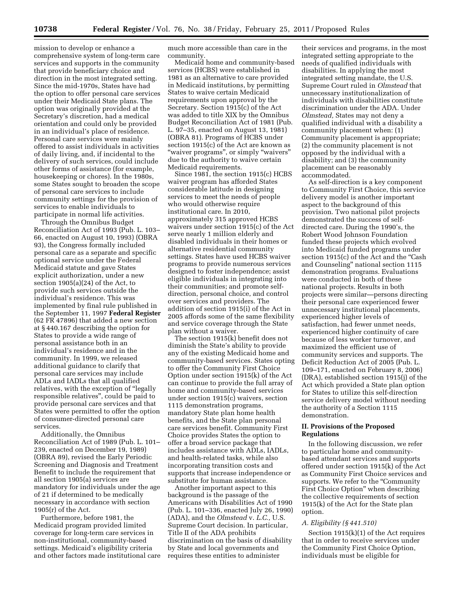mission to develop or enhance a comprehensive system of long-term care services and supports in the community that provide beneficiary choice and direction in the most integrated setting. Since the mid-1970s, States have had the option to offer personal care services under their Medicaid State plans. The option was originally provided at the Secretary's discretion, had a medical orientation and could only be provided in an individual's place of residence. Personal care services were mainly offered to assist individuals in activities of daily living, and, if incidental to the delivery of such services, could include other forms of assistance (for example, housekeeping or chores). In the 1980s, some States sought to broaden the scope of personal care services to include community settings for the provision of services to enable individuals to participate in normal life activities.

Through the Omnibus Budget Reconciliation Act of 1993 (Pub. L. 103– 66, enacted on August 10, 1993) (OBRA 93), the Congress formally included personal care as a separate and specific optional service under the Federal Medicaid statute and gave States explicit authorization, under a new section 1905(a)(24) of the Act, to provide such services outside the individual's residence. This was implemented by final rule published in the September 11, 1997 **Federal Register**  (62 FR 47896) that added a new section at § 440.167 describing the option for States to provide a wide range of personal assistance both in an individual's residence and in the community. In 1999, we released additional guidance to clarify that personal care services may include ADLs and IADLs that all qualified relatives, with the exception of ''legally responsible relatives'', could be paid to provide personal care services and that States were permitted to offer the option of consumer-directed personal care services.

Additionally, the Omnibus Reconciliation Act of 1989 (Pub. L. 101– 239, enacted on December 19, 1989) (OBRA 89), revised the Early Periodic Screening and Diagnosis and Treatment Benefit to include the requirement that all section 1905(a) services are mandatory for individuals under the age of 21 if determined to be medically necessary in accordance with section 1905(r) of the Act.

Furthermore, before 1981, the Medicaid program provided limited coverage for long-term care services in non-institutional, community-based settings. Medicaid's eligibility criteria and other factors made institutional care much more accessible than care in the community.

Medicaid home and community-based services (HCBS) were established in 1981 as an alternative to care provided in Medicaid institutions, by permitting States to waive certain Medicaid requirements upon approval by the Secretary. Section 1915(c) of the Act was added to title XIX by the Omnibus Budget Reconciliation Act of 1981 (Pub. L. 97–35, enacted on August 13, 1981) (OBRA 81). Programs of HCBS under section 1915(c) of the Act are known as ''waiver programs'', or simply ''waivers'' due to the authority to waive certain Medicaid requirements.

Since 1981, the section 1915(c) HCBS waiver program has afforded States considerable latitude in designing services to meet the needs of people who would otherwise require institutional care. In 2010, approximately 315 approved HCBS waivers under section 1915(c) of the Act serve nearly 1 million elderly and disabled individuals in their homes or alternative residential community settings. States have used HCBS waiver programs to provide numerous services designed to foster independence; assist eligible individuals in integrating into their communities; and promote selfdirection, personal choice, and control over services and providers. The addition of section 1915(i) of the Act in 2005 affords some of the same flexibility and service coverage through the State plan without a waiver.

The section 1915(k) benefit does not diminish the State's ability to provide any of the existing Medicaid home and community-based services. States opting to offer the Community First Choice Option under section 1915(k) of the Act can continue to provide the full array of home and community-based services under section 1915(c) waivers, section 1115 demonstration programs, mandatory State plan home health benefits, and the State plan personal care services benefit. Community First Choice provides States the option to offer a broad service package that includes assistance with ADLs, IADLs, and health-related tasks, while also incorporating transition costs and supports that increase independence or substitute for human assistance.

Another important aspect to this background is the passage of the Americans with Disabilities Act of 1990 (Pub. L. 101–336, enacted July 26, 1990) (ADA), and the *Olmstead* v. *L.C.,* U.S. Supreme Court decision. In particular, Title II of the ADA prohibits discrimination on the basis of disability by State and local governments and requires these entities to administer

their services and programs, in the most integrated setting appropriate to the needs of qualified individuals with disabilities. In applying the most integrated setting mandate, the U.S. Supreme Court ruled in *Olmstead* that unnecessary institutionalization of individuals with disabilities constitute discrimination under the ADA. Under *Olmstead,* States may not deny a qualified individual with a disability a community placement when: (1) Community placement is appropriate; (2) the community placement is not opposed by the individual with a disability; and (3) the community placement can be reasonably accommodated.

As self-direction is a key component to Community First Choice, this service delivery model is another important aspect to the background of this provision. Two national pilot projects demonstrated the success of selfdirected care. During the 1990's, the Robert Wood Johnson Foundation funded these projects which evolved into Medicaid funded programs under section 1915(c) of the Act and the "Cash and Counseling'' national section 1115 demonstration programs. Evaluations were conducted in both of these national projects. Results in both projects were similar—persons directing their personal care experienced fewer unnecessary institutional placements, experienced higher levels of satisfaction, had fewer unmet needs, experienced higher continuity of care because of less worker turnover, and maximized the efficient use of community services and supports. The Deficit Reduction Act of 2005 (Pub. L. 109–171, enacted on February 8, 2006) (DRA), established section 1915(j) of the Act which provided a State plan option for States to utilize this self-direction service delivery model without needing the authority of a Section 1115 demonstration.

#### **II. Provisions of the Proposed Regulations**

In the following discussion, we refer to particular home and communitybased attendant services and supports offered under section 1915(k) of the Act as Community First Choice services and supports. We refer to the "Community" First Choice Option'' when describing the collective requirements of section 1915(k) of the Act for the State plan option.

#### *A. Eligibility (§ 441.510)*

Section 1915(k)(1) of the Act requires that in order to receive services under the Community First Choice Option, individuals must be eligible for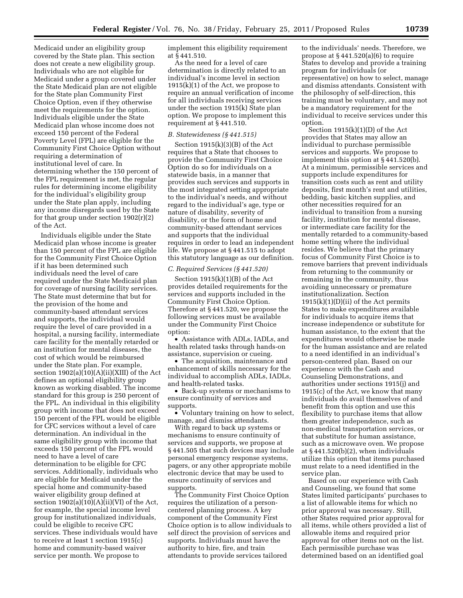Medicaid under an eligibility group covered by the State plan. This section does not create a new eligibility group. Individuals who are not eligible for Medicaid under a group covered under the State Medicaid plan are not eligible for the State plan Community First Choice Option, even if they otherwise meet the requirements for the option. Individuals eligible under the State Medicaid plan whose income does not exceed 150 percent of the Federal Poverty Level (FPL) are eligible for the Community First Choice Option without requiring a determination of institutional level of care. In determining whether the 150 percent of the FPL requirement is met, the regular rules for determining income eligibility for the individual's eligibility group under the State plan apply, including any income disregards used by the State for that group under section  $1902(r)(2)$ of the Act.

Individuals eligible under the State Medicaid plan whose income is greater than 150 percent of the FPL are eligible for the Community First Choice Option if it has been determined such individuals need the level of care required under the State Medicaid plan for coverage of nursing facility services. The State must determine that but for the provision of the home and community-based attendant services and supports, the individual would require the level of care provided in a hospital, a nursing facility, intermediate care facility for the mentally retarded or an institution for mental diseases, the cost of which would be reimbursed under the State plan. For example, section  $1902(a)(10)(A)(ii)(XIII)$  of the Act defines an optional eligibility group known as working disabled. The income standard for this group is 250 percent of the FPL. An individual in this eligibility group with income that does not exceed 150 percent of the FPL would be eligible for CFC services without a level of care determination. An individual in the same eligibility group with income that exceeds 150 percent of the FPL would need to have a level of care determination to be eligible for CFC services. Additionally, individuals who are eligible for Medicaid under the special home and community-based waiver eligibility group defined at section  $1902(a)(10)(A)(ii)(VI)$  of the Act, for example, the special income level group for institutionalized individuals, could be eligible to receive CFC services. These individuals would have to receive at least 1 section 1915(c) home and community-based waiver service per month. We propose to

implement this eligibility requirement at § 441.510.

As the need for a level of care determination is directly related to an individual's income level in section  $1915(k)(1)$  of the Act, we propose to require an annual verification of income for all individuals receiving services under the section 1915(k) State plan option. We propose to implement this requirement at § 441.510.

#### *B. Statewideness (§ 441.515)*

Section 1915(k)(3)(B) of the Act requires that a State that chooses to provide the Community First Choice Option do so for individuals on a statewide basis, in a manner that provides such services and supports in the most integrated setting appropriate to the individual's needs, and without regard to the individual's age, type or nature of disability, severity of disability, or the form of home and community-based attendant services and supports that the individual requires in order to lead an independent life. We propose at § 441.515 to adopt this statutory language as our definition.

#### *C. Required Services (§ 441.520)*

Section  $1915(k)(1)(B)$  of the Act provides detailed requirements for the services and supports included in the Community First Choice Option. Therefore at § 441.520, we propose the following services must be available under the Community First Choice option:

• Assistance with ADLs, IADLs, and health related tasks through hands-on assistance, supervision or cueing.

• The acquisition, maintenance and enhancement of skills necessary for the individual to accomplish ADLs, IADLs, and health-related tasks.

• Back-up systems or mechanisms to ensure continuity of services and supports.

• Voluntary training on how to select, manage, and dismiss attendants.

With regard to back up systems or mechanisms to ensure continuity of services and supports, we propose at § 441.505 that such devices may include personal emergency response systems, pagers, or any other appropriate mobile electronic device that may be used to ensure continuity of services and supports.

The Community First Choice Option requires the utilization of a personcentered planning process. A key component of the Community First Choice option is to allow individuals to self direct the provision of services and supports. Individuals must have the authority to hire, fire, and train attendants to provide services tailored

to the individuals' needs. Therefore, we propose at  $§$  441.520(a)(6) to require States to develop and provide a training program for individuals (or representative) on how to select, manage and dismiss attendants. Consistent with the philosophy of self-direction, this training must be voluntary, and may not be a mandatory requirement for the individual to receive services under this option.

Section  $1915(k)(1)(D)$  of the Act provides that States may allow an individual to purchase permissible services and supports. We propose to implement this option at § 441.520(b). At a minimum, permissible services and supports include expenditures for transition costs such as rent and utility deposits, first month's rent and utilities, bedding, basic kitchen supplies, and other necessities required for an individual to transition from a nursing facility, institution for mental disease, or intermediate care facility for the mentally retarded to a community-based home setting where the individual resides. We believe that the primary focus of Community First Choice is to remove barriers that prevent individuals from returning to the community or remaining in the community, thus avoiding unnecessary or premature institutionalization. Section  $1915(k)(1)(D)(ii)$  of the Act permits States to make expenditures available for individuals to acquire items that increase independence or substitute for human assistance, to the extent that the expenditures would otherwise be made for the human assistance and are related to a need identified in an individual's person-centered plan. Based on our experience with the Cash and Counseling Demonstrations, and authorities under sections 1915(j) and 1915(c) of the Act, we know that many individuals do avail themselves of and benefit from this option and use this flexibility to purchase items that allow them greater independence, such as non-medical transportation services, or that substitute for human assistance, such as a microwave oven. We propose at § 441.520(b)(2), when individuals utilize this option that items purchased must relate to a need identified in the service plan.

Based on our experience with Cash and Counseling, we found that some States limited participants' purchases to a list of allowable items for which no prior approval was necessary. Still, other States required prior approval for all items, while others provided a list of allowable items and required prior approval for other items not on the list. Each permissible purchase was determined based on an identified goal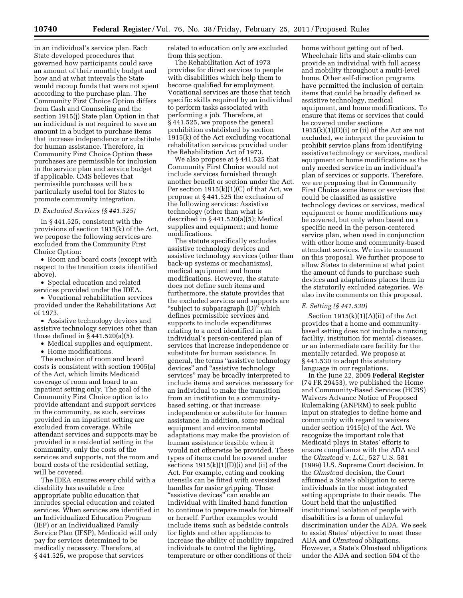in an individual's service plan. Each State developed procedures that governed how participants could save an amount of their monthly budget and how and at what intervals the State would recoup funds that were not spent according to the purchase plan. The Community First Choice Option differs from Cash and Counseling and the section 1915(j) State plan Option in that an individual is not required to save an amount in a budget to purchase items that increase independence or substitute for human assistance. Therefore, in Community First Choice Option these purchases are permissible for inclusion in the service plan and service budget if applicable. CMS believes that permissible purchases will be a particularly useful tool for States to promote community integration.

#### *D. Excluded Services (§ 441.525)*

In § 441.525, consistent with the provisions of section 1915(k) of the Act, we propose the following services are excluded from the Community First Choice Option:

• Room and board costs (except with respect to the transition costs identified above).

• Special education and related services provided under the IDEA.

• Vocational rehabilitation services provided under the Rehabilitations Act of 1973.

• Assistive technology devices and assistive technology services other than those defined in § 441.520(a)(5).

- Medical supplies and equipment.
- Home modifications.

The exclusion of room and board costs is consistent with section 1905(a) of the Act, which limits Medicaid coverage of room and board to an inpatient setting only. The goal of the Community First Choice option is to provide attendant and support services in the community, as such, services provided in an inpatient setting are excluded from coverage. While attendant services and supports may be provided in a residential setting in the community, only the costs of the services and supports, not the room and board costs of the residential setting, will be covered.

The IDEA ensures every child with a disability has available a free appropriate public education that includes special education and related services. When services are identified in an Individualized Education Program (IEP) or an Individualized Family Service Plan (IFSP), Medicaid will only pay for services determined to be medically necessary. Therefore, at § 441.525, we propose that services

related to education only are excluded from this section.

The Rehabilitation Act of 1973 provides for direct services to people with disabilities which help them to become qualified for employment. Vocational services are those that teach specific skills required by an individual to perform tasks associated with performing a job. Therefore, at § 441.525, we propose the general prohibition established by section 1915(k) of the Act excluding vocational rehabilitation services provided under the Rehabilitation Act of 1973.

We also propose at § 441.525 that Community First Choice would not include services furnished through another benefit or section under the Act. Per section  $1915(k)(1)(C)$  of that Act, we propose at § 441.525 the exclusion of the following services: Assistive technology (other than what is described in § 441.520(a)(5); Medical supplies and equipment; and home modifications.

The statute specifically excludes assistive technology devices and assistive technology services (other than back-up systems or mechanisms), medical equipment and home modifications. However, the statute does not define such items and furthermore, the statute provides that the excluded services and supports are ''subject to subparagraph (D)'' which defines permissible services and supports to include expenditures relating to a need identified in an individual's person-centered plan of services that increase independence or substitute for human assistance. In general, the terms ''assistive technology devices'' and ''assistive technology services'' may be broadly interpreted to include items and services necessary for an individual to make the transition from an institution to a communitybased setting, or that increase independence or substitute for human assistance. In addition, some medical equipment and environmental adaptations may make the provision of human assistance feasible when it would not otherwise be provided. These types of items could be covered under sections 1915(k)(1)(D)(i) and (ii) of the Act. For example, eating and cooking utensils can be fitted with oversized handles for easier gripping. These ''assistive devices'' can enable an individual with limited hand function to continue to prepare meals for himself or herself. Further examples would include items such as bedside controls for lights and other appliances to increase the ability of mobility impaired individuals to control the lighting, temperature or other conditions of their

home without getting out of bed. Wheelchair lifts and stair-climbs can provide an individual with full access and mobility throughout a multi-level home. Other self-direction programs have permitted the inclusion of certain items that could be broadly defined as assistive technology, medical equipment, and home modifications. To ensure that items or services that could be covered under sections  $1915(k)(1)(D)(i)$  or (ii) of the Act are not excluded, we interpret the provision to prohibit service plans from identifying assistive technology or services, medical equipment or home modifications as the only needed service in an individual's plan of services or supports. Therefore, we are proposing that in Community First Choice some items or services that could be classified as assistive technology devices or services, medical equipment or home modifications may be covered, but only when based on a specific need in the person-centered service plan, when used in conjunction with other home and community-based attendant services. We invite comment on this proposal. We further propose to allow States to determine at what point the amount of funds to purchase such devices and adaptations places them in the statutorily excluded categories. We also invite comments on this proposal.

#### *E. Setting (§ 441.530)*

Section  $1915(k)(1)(A)(ii)$  of the Act provides that a home and communitybased setting does not include a nursing facility, institution for mental diseases, or an intermediate care facility for the mentally retarded. We propose at § 441.530 to adopt this statutory language in our regulations.

In the June 22, 2009 **Federal Register**  (74 FR 29453), we published the Home and Community-Based Services (HCBS) Waivers Advance Notice of Proposed Rulemaking (ANPRM) to seek public input on strategies to define home and community with regard to waivers under section 1915(c) of the Act. We recognize the important role that Medicaid plays in States' efforts to ensure compliance with the ADA and the *Olmstead* v. *L.C.,* 527 U.S. 581 (1999) U.S. Supreme Court decision. In the *Olmstead* decision, the Court affirmed a State's obligation to serve individuals in the most integrated setting appropriate to their needs. The Court held that the unjustified institutional isolation of people with disabilities is a form of unlawful discrimination under the ADA. We seek to assist States' objective to meet these ADA and *Olmstead* obligations. However, a State's Olmstead obligations under the ADA and section 504 of the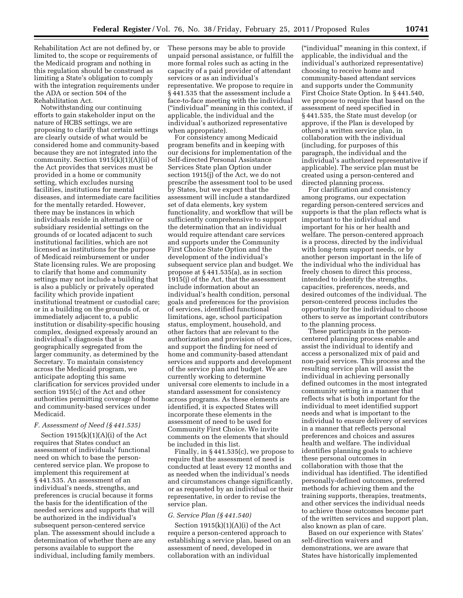Rehabilitation Act are not defined by, or limited to, the scope or requirements of the Medicaid program and nothing in this regulation should be construed as limiting a State's obligation to comply with the integration requirements under the ADA or section 504 of the Rehabilitation Act.

Notwithstanding our continuing efforts to gain stakeholder input on the nature of HCBS settings, we are proposing to clarify that certain settings are clearly outside of what would be considered home and community-based because they are not integrated into the community. Section  $1915(k)(1)(A)(ii)$  of the Act provides that services must be provided in a home or community setting, which excludes nursing facilities, institutions for mental diseases, and intermediate care facilities for the mentally retarded. However, there may be instances in which individuals reside in alternative or subsidiary residential settings on the grounds of or located adjacent to such institutional facilities, which are not licensed as institutions for the purpose of Medicaid reimbursement or under State licensing rules. We are proposing to clarify that home and community settings may not include a building that is also a publicly or privately operated facility which provide inpatient institutional treatment or custodial care; or in a building on the grounds of, or immediately adjacent to, a public institution or disability-specific housing complex, designed expressly around an individual's diagnosis that is geographically segregated from the larger community, as determined by the Secretary. To maintain consistency across the Medicaid program, we anticipate adopting this same clarification for services provided under section 1915(c) of the Act and other authorities permitting coverage of home and community-based services under Medicaid.

#### *F. Assessment of Need (§ 441.535)*

Section  $1915(k)(1)(A)(i)$  of the Act requires that States conduct an assessment of individuals' functional need on which to base the personcentered service plan. We propose to implement this requirement at § 441.535. An assessment of an individual's needs, strengths, and preferences is crucial because it forms the basis for the identification of the needed services and supports that will be authorized in the individual's subsequent person-centered service plan. The assessment should include a determination of whether there are any persons available to support the individual, including family members.

These persons may be able to provide unpaid personal assistance, or fulfill the more formal roles such as acting in the capacity of a paid provider of attendant services or as an individual's representative. We propose to require in § 441.535 that the assessment include a face-to-face meeting with the individual (''individual'' meaning in this context, if applicable, the individual and the individual's authorized representative when appropriate).

For consistency among Medicaid program benefits and in keeping with our decisions for implementation of the Self-directed Personal Assistance Services State plan Option under section 1915(j) of the Act, we do not prescribe the assessment tool to be used by States, but we expect that the assessment will include a standardized set of data elements, key system functionality, and workflow that will be sufficiently comprehensive to support the determination that an individual would require attendant care services and supports under the Community First Choice State Option and the development of the individual's subsequent service plan and budget. We propose at § 441.535(a), as in section 1915(j) of the Act, that the assessment include information about an individual's health condition, personal goals and preferences for the provision of services, identified functional limitations, age, school participation status, employment, household, and other factors that are relevant to the authorization and provision of services, and support the finding for need of home and community-based attendant services and supports and development of the service plan and budget. We are currently working to determine universal core elements to include in a standard assessment for consistency across programs. As these elements are identified, it is expected States will incorporate these elements in the assessment of need to be used for Community First Choice. We invite comments on the elements that should be included in this list.

Finally, in § 441.535(c), we propose to require that the assessment of need is conducted at least every 12 months and as needed when the individual's needs and circumstances change significantly, or as requested by an individual or their representative, in order to revise the service plan.

#### *G. Service Plan (§ 441.540)*

Section 1915(k)(1)(A)(i) of the Act require a person-centered approach to establishing a service plan, based on an assessment of need, developed in collaboration with an individual

(''individual'' meaning in this context, if applicable, the individual and the individual's authorized representative) choosing to receive home and community-based attendant services and supports under the Community First Choice State Option. In § 441.540, we propose to require that based on the assessment of need specified in § 441.535, the State must develop (or approve, if the Plan is developed by others) a written service plan, in collaboration with the individual (including, for purposes of this paragraph, the individual and the individual's authorized representative if applicable). The service plan must be created using a person-centered and directed planning process.

For clarification and consistency among programs, our expectation regarding person-centered services and supports is that the plan reflects what is important to the individual and important for his or her health and welfare. The person-centered approach is a process, directed by the individual with long-term support needs, or by another person important in the life of the individual who the individual has freely chosen to direct this process, intended to identify the strengths, capacities, preferences, needs, and desired outcomes of the individual. The person-centered process includes the opportunity for the individual to choose others to serve as important contributors to the planning process.

These participants in the personcentered planning process enable and assist the individual to identify and access a personalized mix of paid and non-paid services. This process and the resulting service plan will assist the individual in achieving personally defined outcomes in the most integrated community setting in a manner that reflects what is both important for the individual to meet identified support needs and what is important to the individual to ensure delivery of services in a manner that reflects personal preferences and choices and assures health and welfare. The individual identifies planning goals to achieve these personal outcomes in collaboration with those that the individual has identified. The identified personally-defined outcomes, preferred methods for achieving them and the training supports, therapies, treatments, and other services the individual needs to achieve those outcomes become part of the written services and support plan, also known as plan of care.

Based on our experience with States' self-direction waivers and demonstrations, we are aware that States have historically implemented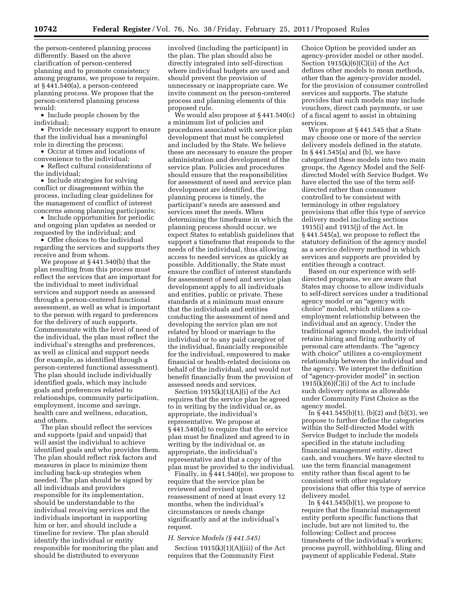the person-centered planning process differently. Based on the above clarification of person-centered planning and to promote consistency among programs, we propose to require, at § 441.540(a), a person-centered planning process. We propose that the person-centered planning process would:

• Include people chosen by the individual;

• Provide necessary support to ensure that the individual has a meaningful role in directing the process;

• Occur at times and locations of convenience to the individual;

• Reflect cultural considerations of the individual;

• Include strategies for solving conflict or disagreement within the process, including clear guidelines for the management of conflict of interest concerns among planning participants;

• Include opportunities for periodic and ongoing plan updates as needed or requested by the individual; and

• Offer choices to the individual regarding the services and supports they receive and from whom.

We propose at § 441.540(b) that the plan resulting from this process must reflect the services that are important for the individual to meet individual services and support needs as assessed through a person-centered functional assessment, as well as what is important to the person with regard to preferences for the delivery of such supports. Commensurate with the level of need of the individual, the plan must reflect the individual's strengths and preferences, as well as clinical and support needs (for example, as identified through a person-centered functional assessment). The plan should include individually identified goals, which may include goals and preferences related to relationships, community participation, employment, income and savings, health care and wellness, education, and others.

The plan should reflect the services and supports (paid and unpaid) that will assist the individual to achieve identified goals and who provides them. The plan should reflect risk factors and measures in place to minimize them including back-up strategies when needed. The plan should be signed by all individuals and providers responsible for its implementation, should be understandable to the individual receiving services and the individuals important in supporting him or her, and should include a timeline for review. The plan should identify the individual or entity responsible for monitoring the plan and should be distributed to everyone

involved (including the participant) in the plan. The plan should also be directly integrated into self-direction where individual budgets are used and should prevent the provision of unnecessary or inappropriate care. We invite comment on the person-centered process and planning elements of this proposed rule.

We would also propose at § 441.540(c) a minimum list of policies and procedures associated with service plan development that must be completed and included by the State. We believe these are necessary to ensure the proper administration and development of the service plan. Policies and procedures should ensure that the responsibilities for assessment of need and service plan development are identified, the planning process is timely, the participant's needs are assessed and services meet the needs. When determining the timeframe in which the planning process should occur, we expect States to establish guidelines that support a timeframe that responds to the needs of the individual, thus allowing access to needed services as quickly as possible. Additionally, the State must ensure the conflict of interest standards for assessment of need and service plan development apply to all individuals and entities, public or private. These standards at a minimum must ensure that the individuals and entities conducting the assessment of need and developing the service plan are not related by blood or marriage to the individual or to any paid caregiver of the individual, financially responsible for the individual, empowered to make financial or health-related decisions on behalf of the individual, and would not benefit financially from the provision of assessed needs and services.

Section 1915(k)(1)(A)(i) of the Act requires that the service plan be agreed to in writing by the individual or, as appropriate, the individual's representative. We propose at § 441.540(d) to require that the service plan must be finalized and agreed to in writing by the individual or, as appropriate, the individual's representative and that a copy of the plan must be provided to the individual.

Finally, in  $\S$  441.540(e), we propose to require that the service plan be reviewed and revised upon reassessment of need at least every 12 months, when the individual's circumstances or needs change significantly and at the individual's request.

#### *H. Service Models (§ 441.545)*

Section  $1915(k)(1)(A)(iii)$  of the Act requires that the Community First

Choice Option be provided under an agency-provider model or other model. Section  $1915(k)(6)(C)(ii)$  of the Act defines other models to mean methods, other than the agency-provider model, for the provision of consumer controlled services and supports. The statute provides that such models may include vouchers, direct cash payments, or use of a fiscal agent to assist in obtaining services.

We propose at § 441.545 that a State may choose one or more of the service delivery models defined in the statute. In § 441.545(a) and (b), we have categorized these models into two main groups, the Agency Model and the Selfdirected Model with Service Budget. We have elected the use of the term selfdirected rather than consumer controlled to be consistent with terminology in other regulatory provisions that offer this type of service delivery model including sections 1915(i) and 1915(j) of the Act. In § 441.545(a), we propose to reflect the statutory definition of the agency model as a service delivery method in which services and supports are provided by entities through a contract.

Based on our experience with selfdirected programs, we are aware that States may choose to allow individuals to self-direct services under a traditional agency model or an ''agency with choice'' model, which utilizes a coemployment relationship between the individual and an agency. Under the traditional agency model, the individual retains hiring and firing authority of personal care attendants. The ''agency with choice'' utilizes a co-employment relationship between the individual and the agency. We interpret the definition of ''agency-provider model'' in section  $1915(k)(6)(C)(i)$  of the Act to include such delivery options as allowable under Community First Choice as the agency model.

In  $\S$ 441.545(b)(1), (b)(2) and (b)(3), we propose to further define the categories within the Self-directed Model with Service Budget to include the models specified in the statute including financial management entity, direct cash, and vouchers. We have elected to use the term financial management entity rather than fiscal agent to be consistent with other regulatory provisions that offer this type of service delivery model.

In  $\S$  441.545(b)(1), we propose to require that the financial management entity perform specific functions that include, but are not limited to, the following: Collect and process timesheets of the individual's workers; process payroll, withholding, filing and payment of applicable Federal, State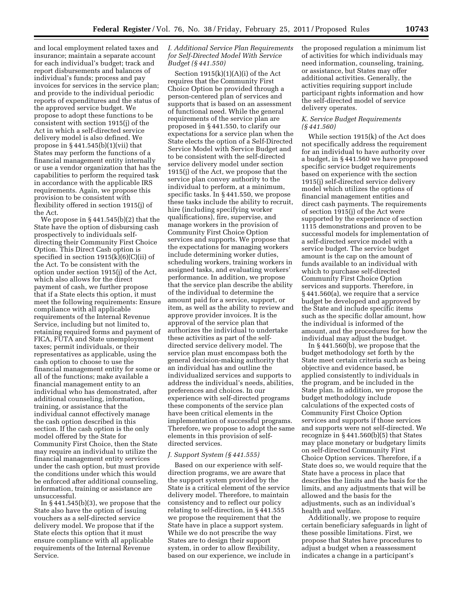and local employment related taxes and insurance; maintain a separate account for each individual's budget; track and report disbursements and balances of individual's funds; process and pay invoices for services in the service plan; and provide to the individual periodic reports of expenditures and the status of the approved service budget. We propose to adopt these functions to be consistent with section 1915(j) of the Act in which a self-directed service delivery model is also defined. We propose in  $§$  441.545(b)(1)(vii) that States may perform the functions of a financial management entity internally or use a vendor organization that has the capabilities to perform the required task in accordance with the applicable IRS requirements. Again, we propose this provision to be consistent with flexibility offered in section 1915(j) of the Act.

We propose in § 441.545(b)(2) that the State have the option of disbursing cash prospectively to individuals selfdirecting their Community First Choice Option. This Direct Cash option is specified in section  $1915(k)(6)(C)(ii)$  of the Act. To be consistent with the option under section 1915(j) of the Act, which also allows for the direct payment of cash, we further propose that if a State elects this option, it must meet the following requirements: Ensure compliance with all applicable requirements of the Internal Revenue Service, including but not limited to, retaining required forms and payment of FICA, FUTA and State unemployment taxes; permit individuals, or their representatives as applicable, using the cash option to choose to use the financial management entity for some or all of the functions; make available a financial management entity to an individual who has demonstrated, after additional counseling, information, training, or assistance that the individual cannot effectively manage the cash option described in this section. If the cash option is the only model offered by the State for Community First Choice, then the State may require an individual to utilize the financial management entity services under the cash option, but must provide the conditions under which this would be enforced after additional counseling, information, training or assistance are unsuccessful.

In § 441.545(b)(3), we propose that the State also have the option of issuing vouchers as a self-directed service delivery model. We propose that if the State elects this option that it must ensure compliance with all applicable requirements of the Internal Revenue Service.

#### *I. Additional Service Plan Requirements for Self-Directed Model With Service Budget (§ 441.550)*

Section  $1915(k)(1)(A)(i)$  of the Act requires that the Community First Choice Option be provided through a person-centered plan of services and supports that is based on an assessment of functional need. While the general requirements of the service plan are proposed in § 441.550, to clarify our expectations for a service plan when the State elects the option of a Self-Directed Service Model with Service Budget and to be consistent with the self-directed service delivery model under section 1915(j) of the Act, we propose that the service plan convey authority to the individual to perform, at a minimum, specific tasks. In § 441.550, we propose these tasks include the ability to recruit, hire (including specifying worker qualifications), fire, supervise, and manage workers in the provision of Community First Choice Option services and supports. We propose that the expectations for managing workers include determining worker duties, scheduling workers, training workers in assigned tasks, and evaluating workers' performance. In addition, we propose that the service plan describe the ability of the individual to determine the amount paid for a service, support, or item, as well as the ability to review and approve provider invoices. It is the approval of the service plan that authorizes the individual to undertake these activities as part of the selfdirected service delivery model. The service plan must encompass both the general decision-making authority that an individual has and outline the individualized services and supports to address the individual's needs, abilities, preferences and choices. In our experience with self-directed programs these components of the service plan have been critical elements in the implementation of successful programs. Therefore, we propose to adopt the same elements in this provision of selfdirected services.

#### *J. Support System (§ 441.555)*

Based on our experience with selfdirection programs, we are aware that the support system provided by the State is a critical element of the service delivery model. Therefore, to maintain consistency and to reflect our policy relating to self-direction, in § 441.555 we propose the requirement that the State have in place a support system. While we do not prescribe the way States are to design their support system, in order to allow flexibility, based on our experience, we include in the proposed regulation a minimum list of activities for which individuals may need information, counseling, training, or assistance, but States may offer additional activities. Generally, the activities requiring support include participant rights information and how the self-directed model of service delivery operates.

#### *K. Service Budget Requirements (§ 441.560)*

While section 1915(k) of the Act does not specifically address the requirement for an individual to have authority over a budget, in § 441.560 we have proposed specific service budget requirements based on experience with the section 1915(j) self-directed service delivery model which utilizes the options of financial management entities and direct cash payments. The requirements of section 1915(j) of the Act were supported by the experience of section 1115 demonstrations and proven to be successful models for implementation of a self-directed service model with a service budget. The service budget amount is the cap on the amount of funds available to an individual with which to purchase self-directed Community First Choice Option services and supports. Therefore, in § 441.560(a), we require that a service budget be developed and approved by the State and include specific items such as the specific dollar amount, how the individual is informed of the amount, and the procedures for how the individual may adjust the budget.

In  $\S 441.560(b)$ , we propose that the budget methodology set forth by the State meet certain criteria such as being objective and evidence based, be applied consistently to individuals in the program, and be included in the State plan. In addition, we propose the budget methodology include calculations of the expected costs of Community First Choice Option services and supports if those services and supports were not self-directed. We recognize in § 441.560(b)(5) that States may place monetary or budgetary limits on self-directed Community First Choice Option services. Therefore, if a State does so, we would require that the State have a process in place that describes the limits and the basis for the limits, and any adjustments that will be allowed and the basis for the adjustments, such as an individual's health and welfare.

Additionally, we propose to require certain beneficiary safeguards in light of these possible limitations. First, we propose that States have procedures to adjust a budget when a reassessment indicates a change in a participant's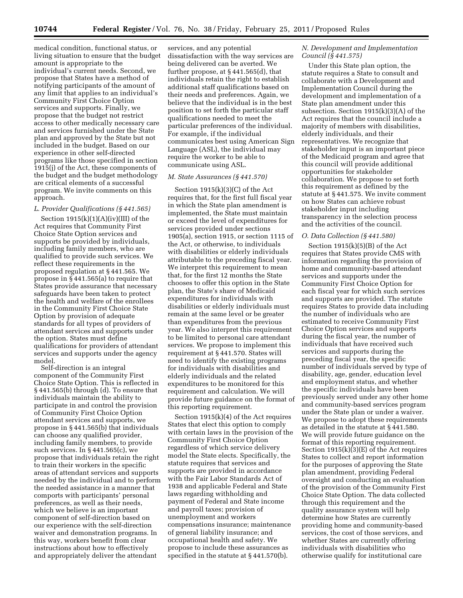medical condition, functional status, or living situation to ensure that the budget amount is appropriate to the individual's current needs. Second, we propose that States have a method of notifying participants of the amount of any limit that applies to an individual's Community First Choice Option services and supports. Finally, we propose that the budget not restrict access to other medically necessary care and services furnished under the State plan and approved by the State but not included in the budget. Based on our experience in other self-directed programs like those specified in section 1915(j) of the Act, these components of the budget and the budget methodology are critical elements of a successful program. We invite comments on this approach.

#### *L. Provider Qualifications (§ 441.565)*

Section  $1915(k)(1)(A)(iv)(III)$  of the Act requires that Community First Choice State Option services and supports be provided by individuals, including family members, who are qualified to provide such services. We reflect these requirements in the proposed regulation at § 441.565. We propose in § 441.565(a) to require that States provide assurance that necessary safeguards have been taken to protect the health and welfare of the enrollees in the Community First Choice State Option by provision of adequate standards for all types of providers of attendant services and supports under the option. States must define qualifications for providers of attendant services and supports under the agency model.

Self-direction is an integral component of the Community First Choice State Option. This is reflected in § 441.565(b) through (d). To ensure that individuals maintain the ability to participate in and control the provision of Community First Choice Option attendant services and supports, we propose in § 441.565(b) that individuals can choose any qualified provider, including family members, to provide such services. In  $\S$  441.565(c), we propose that individuals retain the right to train their workers in the specific areas of attendant services and supports needed by the individual and to perform the needed assistance in a manner that comports with participants' personal preferences, as well as their needs, which we believe is an important component of self-direction based on our experience with the self-direction waiver and demonstration programs. In this way, workers benefit from clear instructions about how to effectively and appropriately deliver the attendant

services, and any potential dissatisfaction with the way services are being delivered can be averted. We further propose, at § 441.565(d), that individuals retain the right to establish additional staff qualifications based on their needs and preferences. Again, we believe that the individual is in the best position to set forth the particular staff qualifications needed to meet the particular preferences of the individual. For example, if the individual communicates best using American Sign Language (ASL), the individual may require the worker to be able to communicate using ASL.

#### *M. State Assurances (§ 441.570)*

Section  $1915(k)(3)(C)$  of the Act requires that, for the first full fiscal year in which the State plan amendment is implemented, the State must maintain or exceed the level of expenditures for services provided under sections 1905(a), section 1915, or section 1115 of the Act, or otherwise, to individuals with disabilities or elderly individuals attributable to the preceding fiscal year. We interpret this requirement to mean that, for the first 12 months the State chooses to offer this option in the State plan, the State's share of Medicaid expenditures for individuals with disabilities or elderly individuals must remain at the same level or be greater than expenditures from the previous year. We also interpret this requirement to be limited to personal care attendant services. We propose to implement this requirement at § 441.570. States will need to identify the existing programs for individuals with disabilities and elderly individuals and the related expenditures to be monitored for this requirement and calculation. We will provide future guidance on the format of this reporting requirement.

Section 1915(k)(4) of the Act requires States that elect this option to comply with certain laws in the provision of the Community First Choice Option regardless of which service delivery model the State elects. Specifically, the statute requires that services and supports are provided in accordance with the Fair Labor Standards Act of 1938 and applicable Federal and State laws regarding withholding and payment of Federal and State income and payroll taxes; provision of unemployment and workers compensations insurance; maintenance of general liability insurance; and occupational health and safety. We propose to include these assurances as specified in the statute at § 441.570(b).

#### *N. Development and Implementation Council (§ 441.575)*

Under this State plan option, the statute requires a State to consult and collaborate with a Development and Implementation Council during the development and implementation of a State plan amendment under this subsection. Section 1915(k)(3)(A) of the Act requires that the council include a majority of members with disabilities, elderly individuals, and their representatives. We recognize that stakeholder input is an important piece of the Medicaid program and agree that this council will provide additional opportunities for stakeholder collaboration. We propose to set forth this requirement as defined by the statute at § 441.575. We invite comment on how States can achieve robust stakeholder input including transparency in the selection process and the activities of the council.

#### *O. Data Collection (§ 441.580)*

Section  $1915(k)(5)(B)$  of the Act requires that States provide CMS with information regarding the provision of home and community-based attendant services and supports under the Community First Choice Option for each fiscal year for which such services and supports are provided. The statute requires States to provide data including the number of individuals who are estimated to receive Community First Choice Option services and supports during the fiscal year, the number of individuals that have received such services and supports during the preceding fiscal year, the specific number of individuals served by type of disability, age, gender, education level and employment status, and whether the specific individuals have been previously served under any other home and community-based services program under the State plan or under a waiver. We propose to adopt these requirements as detailed in the statute at § 441.580. We will provide future guidance on the format of this reporting requirement. Section 1915(k)(3)(E) of the Act requires States to collect and report information for the purposes of approving the State plan amendment, providing Federal oversight and conducting an evaluation of the provision of the Community First Choice State Option. The data collected through this requirement and the quality assurance system will help determine how States are currently providing home and community-based services, the cost of those services, and whether States are currently offering individuals with disabilities who otherwise qualify for institutional care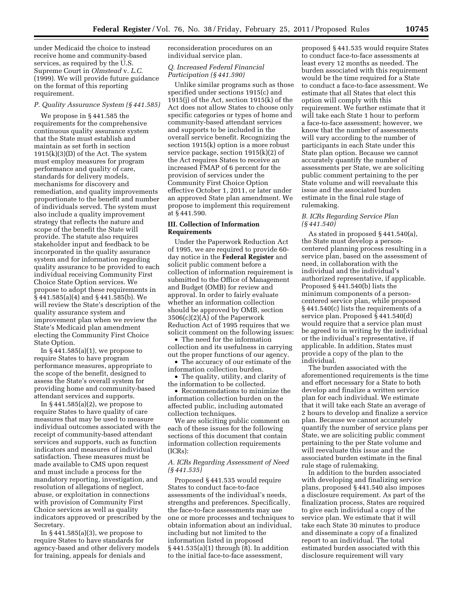under Medicaid the choice to instead receive home and community-based services, as required by the U.S. Supreme Court in *Olmstead* v. *L.C.*  (1999). We will provide future guidance on the format of this reporting requirement.

#### *P. Quality Assurance System (§ 441.585)*

We propose in § 441.585 the requirements for the comprehensive continuous quality assurance system that the State must establish and maintain as set forth in section 1915(k)(3)(D) of the Act. The system must employ measures for program performance and quality of care, standards for delivery models, mechanisms for discovery and remediation, and quality improvements proportionate to the benefit and number of individuals served. The system must also include a quality improvement strategy that reflects the nature and scope of the benefit the State will provide. The statute also requires stakeholder input and feedback to be incorporated in the quality assurance system and for information regarding quality assurance to be provided to each individual receiving Community First Choice State Option services. We propose to adopt these requirements in § 441.585(a)(4) and § 441.585(b). We will review the State's description of the quality assurance system and improvement plan when we review the State's Medicaid plan amendment electing the Community First Choice State Option.

In  $\S$  441.585(a)(1), we propose to require States to have program performance measures, appropriate to the scope of the benefit, designed to assess the State's overall system for providing home and community-based attendant services and supports.

In § 441.585(a)(2), we propose to require States to have quality of care measures that may be used to measure individual outcomes associated with the receipt of community-based attendant services and supports, such as function indicators and measures of individual satisfaction. These measures must be made available to CMS upon request and must include a process for the mandatory reporting, investigation, and resolution of allegations of neglect, abuse, or exploitation in connections with provision of Community First Choice services as well as quality indicators approved or prescribed by the Secretary.

In  $\S$  441.585(a)(3), we propose to require States to have standards for agency-based and other delivery models for training, appeals for denials and

reconsideration procedures on an individual service plan.

#### *Q. Increased Federal Financial Participation (§ 441.590)*

Unlike similar programs such as those specified under sections 1915(c) and 1915(j) of the Act, section 1915(k) of the Act does not allow States to choose only specific categories or types of home and community-based attendant services and supports to be included in the overall service benefit. Recognizing the section 1915(k) option is a more robust service package, section 1915(k)(2) of the Act requires States to receive an increased FMAP of 6 percent for the provision of services under the Community First Choice Option effective October 1, 2011, or later under an approved State plan amendment. We propose to implement this requirement at § 441.590.

#### **III. Collection of Information Requirements**

Under the Paperwork Reduction Act of 1995, we are required to provide 60 day notice in the **Federal Register** and solicit public comment before a collection of information requirement is submitted to the Office of Management and Budget (OMB) for review and approval. In order to fairly evaluate whether an information collection should be approved by OMB, section 3506(c)(2)(A) of the Paperwork Reduction Act of 1995 requires that we solicit comment on the following issues:

• The need for the information collection and its usefulness in carrying out the proper functions of our agency.

• The accuracy of our estimate of the information collection burden.

• The quality, utility, and clarity of the information to be collected.

• Recommendations to minimize the information collection burden on the affected public, including automated collection techniques.

We are soliciting public comment on each of these issues for the following sections of this document that contain information collection requirements (ICRs):

#### *A. ICRs Regarding Assessment of Need (§ 441.535)*

Proposed § 441.535 would require States to conduct face-to-face assessments of the individual's needs, strengths and preferences. Specifically, the face-to-face assessments may use one or more processes and techniques to obtain information about an individual, including but not limited to the information listed in proposed § 441.535(a)(1) through (8). In addition to the initial face-to-face assessment,

proposed § 441.535 would require States to conduct face-to-face assessments at least every 12 months as needed. The burden associated with this requirement would be the time required for a State to conduct a face-to-face assessment. We estimate that all States that elect this option will comply with this requirement. We further estimate that it will take each State 1 hour to perform a face-to-face assessment; however, we know that the number of assessments will vary according to the number of participants in each State under this State plan option. Because we cannot accurately quantify the number of assessments per State, we are soliciting public comment pertaining to the per State volume and will reevaluate this issue and the associated burden estimate in the final rule stage of rulemaking.

#### *B. ICRs Regarding Service Plan (§ 441.540)*

As stated in proposed § 441.540(a), the State must develop a personcentered planning process resulting in a service plan, based on the assessment of need, in collaboration with the individual and the individual's authorized representative, if applicable. Proposed § 441.540(b) lists the minimum components of a personcentered service plan, while proposed § 441.540(c) lists the requirements of a service plan. Proposed § 441.540(d) would require that a service plan must be agreed to in writing by the individual or the individual's representative, if applicable. In addition, States must provide a copy of the plan to the individual.

The burden associated with the aforementioned requirements is the time and effort necessary for a State to both develop and finalize a written service plan for each individual. We estimate that it will take each State an average of 2 hours to develop and finalize a service plan. Because we cannot accurately quantify the number of service plans per State, we are soliciting public comment pertaining to the per State volume and will reevaluate this issue and the associated burden estimate in the final rule stage of rulemaking.

In addition to the burden associated with developing and finalizing service plans, proposed § 441.540 also imposes a disclosure requirement. As part of the finalization process, States are required to give each individual a copy of the service plan. We estimate that it will take each State 30 minutes to produce and disseminate a copy of a finalized report to an individual. The total estimated burden associated with this disclosure requirement will vary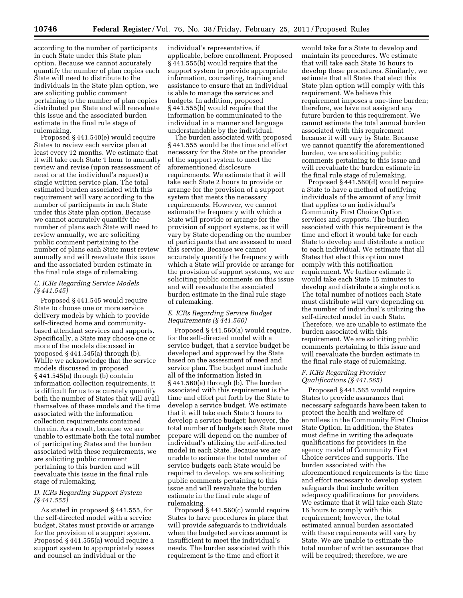individuals in the State plan option, we pertaining to the number of plan copies distributed per State and will reevaluate this issue and the associated burden estimate in the final rule stage of rulemaking.

Proposed § 441.540(e) would require States to review each service plan at least every 12 months. We estimate that it will take each State 1 hour to annually review and revise (upon reassessment of need or at the individual's request) a single written service plan. The total estimated burden associated with this requirement will vary according to the number of participants in each State under this State plan option. Because we cannot accurately quantify the number of plans each State will need to review annually, we are soliciting public comment pertaining to the number of plans each State must review annually and will reevaluate this issue and the associated burden estimate in the final rule stage of rulemaking.

#### *C. ICRs Regarding Service Models (§ 441.545)*

Proposed § 441.545 would require State to choose one or more service delivery models by which to provide self-directed home and communitybased attendant services and supports. Specifically, a State may choose one or more of the models discussed in proposed § 441.545(a) through (b). While we acknowledge that the service models discussed in proposed § 441.545(a) through (b) contain information collection requirements, it is difficult for us to accurately quantify both the number of States that will avail themselves of these models and the time associated with the information collection requirements contained therein. As a result, because we are unable to estimate both the total number of participating States and the burden associated with these requirements, we are soliciting public comment pertaining to this burden and will reevaluate this issue in the final rule stage of rulemaking.

#### *D. ICRs Regarding Support System (§ 441.555)*

As stated in proposed § 441.555, for the self-directed model with a service budget, States must provide or arrange for the provision of a support system. Proposed § 441.555(a) would require a support system to appropriately assess and counsel an individual or the

individual's representative, if applicable, before enrollment. Proposed § 441.555(b) would require that the support system to provide appropriate information, counseling, training and assistance to ensure that an individual is able to manage the services and budgets. In addition, proposed § 441.555(b) would require that the information be communicated to the individual in a manner and language understandable by the individual.

The burden associated with proposed § 441.555 would be the time and effort necessary for the State or the provider of the support system to meet the aforementioned disclosure requirements. We estimate that it will take each State 2 hours to provide or arrange for the provision of a support system that meets the necessary requirements. However, we cannot estimate the frequency with which a State will provide or arrange for the provision of support systems, as it will vary by State depending on the number of participants that are assessed to need this service. Because we cannot accurately quantify the frequency with which a State will provide or arrange for the provision of support systems, we are soliciting public comments on this issue and will reevaluate the associated burden estimate in the final rule stage of rulemaking.

#### *E. ICRs Regarding Service Budget Requirements (§ 441.560)*

Proposed § 441.560(a) would require, for the self-directed model with a service budget, that a service budget be developed and approved by the State based on the assessment of need and service plan. The budget must include all of the information listed in § 441.560(a) through (b). The burden associated with this requirement is the time and effort put forth by the State to develop a service budget. We estimate that it will take each State 3 hours to develop a service budget; however, the total number of budgets each State must prepare will depend on the number of individual's utilizing the self-directed model in each State. Because we are unable to estimate the total number of service budgets each State would be required to develop, we are soliciting public comments pertaining to this issue and will reevaluate the burden estimate in the final rule stage of rulemaking.

Proposed § 441.560(c) would require States to have procedures in place that will provide safeguards to individuals when the budgeted services amount is insufficient to meet the individual's needs. The burden associated with this requirement is the time and effort it

would take for a State to develop and maintain its procedures. We estimate that will take each State 16 hours to develop these procedures. Similarly, we estimate that all States that elect this State plan option will comply with this requirement. We believe this requirement imposes a one-time burden; therefore, we have not assigned any future burden to this requirement. We cannot estimate the total annual burden associated with this requirement because it will vary by State. Because we cannot quantify the aforementioned burden, we are soliciting public comments pertaining to this issue and will reevaluate the burden estimate in the final rule stage of rulemaking.

Proposed § 441.560(d) would require a State to have a method of notifying individuals of the amount of any limit that applies to an individual's Community First Choice Option services and supports. The burden associated with this requirement is the time and effort it would take for each State to develop and distribute a notice to each individual. We estimate that all States that elect this option must comply with this notification requirement. We further estimate it would take each State 15 minutes to develop and distribute a single notice. The total number of notices each State must distribute will vary depending on the number of individual's utilizing the self-directed model in each State. Therefore, we are unable to estimate the burden associated with this requirement. We are soliciting public comments pertaining to this issue and will reevaluate the burden estimate in the final rule stage of rulemaking.

#### *F. ICRs Regarding Provider Qualifications (§ 441.565)*

Proposed § 441.565 would require States to provide assurances that necessary safeguards have been taken to protect the health and welfare of enrollees in the Community First Choice State Option. In addition, the States must define in writing the adequate qualifications for providers in the agency model of Community First Choice services and supports. The burden associated with the aforementioned requirements is the time and effort necessary to develop system safeguards that include written adequacy qualifications for providers. We estimate that it will take each State 16 hours to comply with this requirement; however, the total estimated annual burden associated with these requirements will vary by State. We are unable to estimate the total number of written assurances that will be required; therefore, we are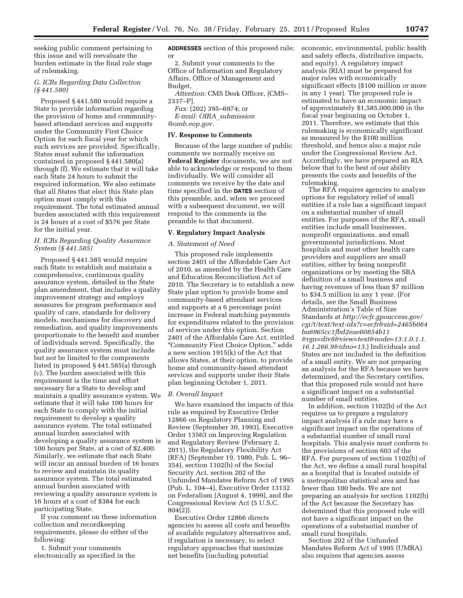seeking public comment pertaining to this issue and will reevaluate the burden estimate in the final rule stage of rulemaking.

*G. ICRs Regarding Data Collection (§ 441.580)* 

Proposed § 441.580 would require a State to provide information regarding the provision of home and communitybased attendant services and supports under the Community First Choice Option for each fiscal year for which such services are provided. Specifically, States must submit the information contained in proposed § 441.580(a) through (f). We estimate that it will take each State 24 hours to submit the required information. We also estimate that all States that elect this State plan option must comply with this requirement. The total estimated annual burden associated with this requirement is 24 hours at a cost of \$576 per State for the initial year.

#### *H. ICRs Regarding Quality Assurance System (§ 441.585)*

Proposed § 441.585 would require each State to establish and maintain a comprehensive, continuous quality assurance system, detailed in the State plan amendment, that includes a quality improvement strategy and employs measures for program performance and quality of care, standards for delivery models, mechanisms for discovery and remediation, and quality improvements proportionate to the benefit and number of individuals served. Specifically, the quality assurance system must include but not be limited to the components listed in proposed § 441.585(a) through (c). The burden associated with this requirement is the time and effort necessary for a State to develop and maintain a quality assurance system. We estimate that it will take 100 hours for each State to comply with the initial requirement to develop a quality assurance system. The total estimated annual burden associated with developing a quality assurance system is 100 hours per State, at a cost of \$2,400. Similarly, we estimate that each State will incur an annual burden of 16 hours to review and maintain its quality assurance system. The total estimated annual burden associated with reviewing a quality assurance system is 16 hours at a cost of \$384 for each participating State.

If you comment on these information collection and recordkeeping requirements, please do either of the following:

1. Submit your comments electronically as specified in the **ADDRESSES** section of this proposed rule; or

2. Submit your comments to the Office of Information and Regulatory Affairs, Office of Management and Budget,

*Attention:* CMS Desk Officer, [CMS– 2337–P].

*Fax:* (202) 395–6974; or *E-mail: OIRA*\_*submission @omb.eop.gov.* 

#### **IV. Response to Comments**

Because of the large number of public comments we normally receive on **Federal Register** documents, we are not able to acknowledge or respond to them individually. We will consider all comments we receive by the date and time specified in the **DATES** section of this preamble, and, when we proceed with a subsequent document, we will respond to the comments in the preamble to that document.

#### **V. Regulatory Impact Analysis**

#### *A. Statement of Need*

This proposed rule implements section 2401 of the Affordable Care Act of 2010, as amended by the Health Care and Education Reconciliation Act of 2010. The Secretary is to establish a new State plan option to provide home and community-based attendant services and supports at a 6 percentage point increase in Federal matching payments for expenditures related to the provision of services under this option. Section 2401 of the Affordable Care Act, entitled ''Community First Choice Option,'' adds a new section 1915(k) of the Act that allows States, at their option, to provide home and community-based attendant services and supports under their State plan beginning October 1, 2011.

#### *B. Overall Impact*

We have examined the impacts of this rule as required by Executive Order 12866 on Regulatory Planning and Review (September 30, 1993), Executive Order 13563 on Improving Regulation and Regulatory Review (February 2, 2011), the Regulatory Flexibility Act (RFA) (September 19, 1980, Pub. L. 96– 354), section 1102(b) of the Social Security Act, section 202 of the Unfunded Mandates Reform Act of 1995 (Pub. L. 104–4), Executive Order 13132 on Federalism (August 4, 1999), and the Congressional Review Act (5 U.S.C. 804(2)).

Executive Order 12866 directs agencies to assess all costs and benefits of available regulatory alternatives and, if regulation is necessary, to select regulatory approaches that maximize net benefits (including potential

economic, environmental, public health and safety effects, distributive impacts, and equity). A regulatory impact analysis (RIA) must be prepared for major rules with economically significant effects (\$100 million or more in any 1 year). The proposed rule is estimated to have an economic impact of approximately \$1,585,000,000 in the fiscal year beginning on October 1, 2011. Therefore, we estimate that this rulemaking is economically significant as measured by the \$100 million threshold, and hence also a major rule under the Congressional Review Act. Accordingly, we have prepared an RIA below that to the best of our ability presents the costs and benefits of the rulemaking.

The RFA requires agencies to analyze options for regulatory relief of small entities if a rule has a significant impact on a substantial number of small entities. For purposes of the RFA, small entities include small businesses, nonprofit organizations, and small governmental jurisdictions. Most hospitals and most other health care providers and suppliers are small entities, either by being nonprofit organizations or by meeting the SBA definition of a small business and having revenues of less than \$7 million to \$34.5 million in any 1 year. (For details, *see* the Small Business Administration's Table of Size Standards at *[http://ecfr.gpoaccess.gov/](http://ecfr.gpoaccess.gov/cgi/t/text/text-idx?c=ecfr&sid=2465b064ba6965cc1fbd2eae60854b11&rgn=div8&view=text&node=13:1.0.1.1.16.1.266.9&idno=13) [cgi/t/text/text-idx?c=ecfr&sid=2465b064](http://ecfr.gpoaccess.gov/cgi/t/text/text-idx?c=ecfr&sid=2465b064ba6965cc1fbd2eae60854b11&rgn=div8&view=text&node=13:1.0.1.1.16.1.266.9&idno=13) [ba6965cc1fbd2eae60854b11](http://ecfr.gpoaccess.gov/cgi/t/text/text-idx?c=ecfr&sid=2465b064ba6965cc1fbd2eae60854b11&rgn=div8&view=text&node=13:1.0.1.1.16.1.266.9&idno=13) [&rgn=div8&view=text&node=13:1.0.1.1.](http://ecfr.gpoaccess.gov/cgi/t/text/text-idx?c=ecfr&sid=2465b064ba6965cc1fbd2eae60854b11&rgn=div8&view=text&node=13:1.0.1.1.16.1.266.9&idno=13) [16.1.266.9&idno=13](http://ecfr.gpoaccess.gov/cgi/t/text/text-idx?c=ecfr&sid=2465b064ba6965cc1fbd2eae60854b11&rgn=div8&view=text&node=13:1.0.1.1.16.1.266.9&idno=13)*.) Individuals and States are not included in the definition of a small entity. We are not preparing an analysis for the RFA because we have determined, and the Secretary certifies, that this proposed rule would not have a significant impact on a substantial number of small entities.

In addition, section 1102(b) of the Act requires us to prepare a regulatory impact analysis if a rule may have a significant impact on the operations of a substantial number of small rural hospitals. This analysis must conform to the provisions of section 603 of the RFA. For purposes of section 1102(b) of the Act, we define a small rural hospital as a hospital that is located outside of a metropolitan statistical area and has fewer than 100 beds. We are not preparing an analysis for section 1102(b) of the Act because the Secretary has determined that this proposed rule will not have a significant impact on the operations of a substantial number of small rural hospitals.

Section 202 of the Unfunded Mandates Reform Act of 1995 (UMRA) also requires that agencies assess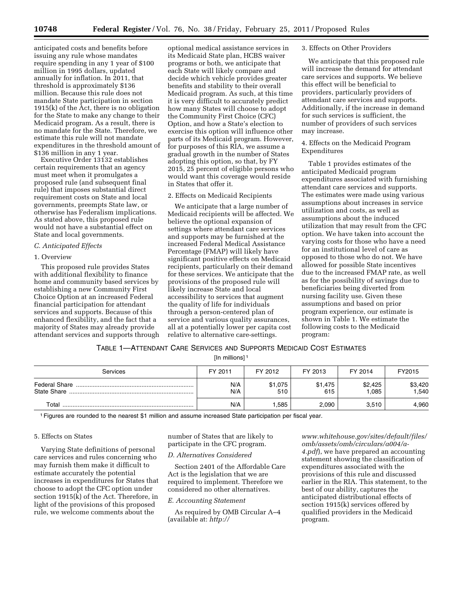anticipated costs and benefits before issuing any rule whose mandates require spending in any 1 year of \$100 million in 1995 dollars, updated annually for inflation. In 2011, that threshold is approximately \$136 million. Because this rule does not mandate State participation in section 1915(k) of the Act, there is no obligation for the State to make any change to their Medicaid program. As a result, there is no mandate for the State. Therefore, we estimate this rule will not mandate expenditures in the threshold amount of \$136 million in any 1 year.

Executive Order 13132 establishes certain requirements that an agency must meet when it promulgates a proposed rule (and subsequent final rule) that imposes substantial direct requirement costs on State and local governments, preempts State law, or otherwise has Federalism implications. As stated above, this proposed rule would not have a substantial effect on State and local governments.

#### *C. Anticipated Effects*

#### 1. Overview

This proposed rule provides States with additional flexibility to finance home and community based services by establishing a new Community First Choice Option at an increased Federal financial participation for attendant services and supports. Because of this enhanced flexibility, and the fact that a majority of States may already provide attendant services and supports through

optional medical assistance services in its Medicaid State plan, HCBS waiver programs or both, we anticipate that each State will likely compare and decide which vehicle provides greater benefits and stability to their overall Medicaid program. As such, at this time it is very difficult to accurately predict how many States will choose to adopt the Community First Choice (CFC) Option, and how a State's election to exercise this option will influence other parts of its Medicaid program. However, for purposes of this RIA, we assume a gradual growth in the number of States adopting this option, so that, by FY 2015, 25 percent of eligible persons who would want this coverage would reside in States that offer it.

#### 2. Effects on Medicaid Recipients

We anticipate that a large number of Medicaid recipients will be affected. We believe the optional expansion of settings where attendant care services and supports may be furnished at the increased Federal Medical Assistance Percentage (FMAP) will likely have significant positive effects on Medicaid recipients, particularly on their demand for these services. We anticipate that the provisions of the proposed rule will likely increase State and local accessibility to services that augment the quality of life for individuals through a person-centered plan of service and various quality assurances, all at a potentially lower per capita cost relative to alternative care-settings.

3. Effects on Other Providers

We anticipate that this proposed rule will increase the demand for attendant care services and supports. We believe this effect will be beneficial to providers, particularly providers of attendant care services and supports. Additionally, if the increase in demand for such services is sufficient, the number of providers of such services may increase.

#### 4. Effects on the Medicaid Program Expenditures

Table 1 provides estimates of the anticipated Medicaid program expenditures associated with furnishing attendant care services and supports. The estimates were made using various assumptions about increases in service utilization and costs, as well as assumptions about the induced utilization that may result from the CFC option. We have taken into account the varying costs for those who have a need for an institutional level of care as opposed to those who do not. We have allowed for possible State incentives due to the increased FMAP rate, as well as for the possibility of savings due to beneficiaries being diverted from nursing facility use. Given these assumptions and based on prior program experience, our estimate is shown in Table 1. We estimate the following costs to the Medicaid program:

### TABLE 1—ATTENDANT CARE SERVICES AND SUPPORTS MEDICAID COST ESTIMATES

[In millions]<sup>1</sup>

| Services    | FY 2011    | FY 2012        | FY 2013        | FY 2014          | FY2015          |
|-------------|------------|----------------|----------------|------------------|-----------------|
| State Share | N/A<br>N/A | \$1,075<br>510 | \$1,475<br>615 | \$2,425<br>1,085 | \$3,420<br>.540 |
| Total       | N/A        | .585           | 2.090          | 3,510            | 4.960           |

1Figures are rounded to the nearest \$1 million and assume increased State participation per fiscal year.

#### 5. Effects on States

Varying State definitions of personal care services and rules concerning who may furnish them make it difficult to estimate accurately the potential increases in expenditures for States that choose to adopt the CFC option under section 1915(k) of the Act. Therefore, in light of the provisions of this proposed rule, we welcome comments about the

number of States that are likely to participate in the CFC program.

#### *D. Alternatives Considered*

Section 2401 of the Affordable Care Act is the legislation that we are required to implement. Therefore we considered no other alternatives.

#### *E. Accounting Statement*

As required by OMB Circular A–4 (available at: *[http://](http://www.whitehouse.gov/sites/default/files/omb/assets/omb/circulars/a004/a-4.pdf)* 

*[www.whitehouse.gov/sites/default/files/](http://www.whitehouse.gov/sites/default/files/omb/assets/omb/circulars/a004/a-4.pdf)  [omb/assets/omb/circulars/a004/a-](http://www.whitehouse.gov/sites/default/files/omb/assets/omb/circulars/a004/a-4.pdf)[4.pdf](http://www.whitehouse.gov/sites/default/files/omb/assets/omb/circulars/a004/a-4.pdf)*), we have prepared an accounting statement showing the classification of expenditures associated with the provisions of this rule and discussed earlier in the RIA. This statement, to the best of our ability, captures the anticipated distributional effects of section 1915(k) services offered by qualified providers in the Medicaid program.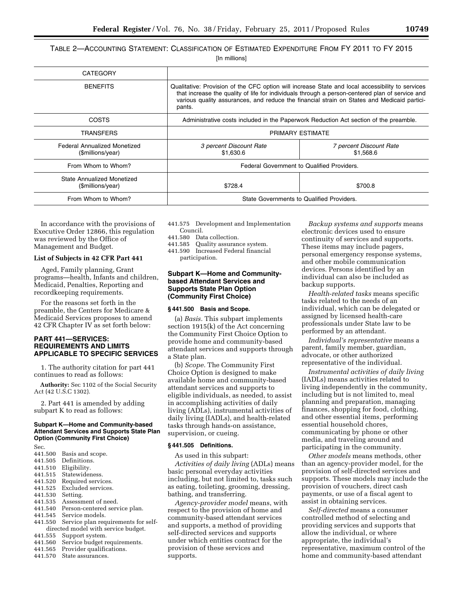TABLE 2—ACCOUNTING STATEMENT: CLASSIFICATION OF ESTIMATED EXPENDITURE FROM FY 2011 TO FY 2015

[In millions]

| <b>CATEGORY</b>                                   |                                                                                                                                                                                                                                                                                                              |                                      |  |  |
|---------------------------------------------------|--------------------------------------------------------------------------------------------------------------------------------------------------------------------------------------------------------------------------------------------------------------------------------------------------------------|--------------------------------------|--|--|
| <b>BENEFITS</b>                                   | Qualitative: Provision of the CFC option will increase State and local accessibility to services<br>that increase the quality of life for individuals through a person-centered plan of service and<br>various quality assurances, and reduce the financial strain on States and Medicaid partici-<br>pants. |                                      |  |  |
| COSTS                                             | Administrative costs included in the Paperwork Reduction Act section of the preamble.                                                                                                                                                                                                                        |                                      |  |  |
| TRANSFERS                                         | PRIMARY ESTIMATE                                                                                                                                                                                                                                                                                             |                                      |  |  |
| Federal Annualized Monetized<br>(\$millions/year) | 3 percent Discount Rate<br>\$1,630.6                                                                                                                                                                                                                                                                         | 7 percent Discount Rate<br>\$1.568.6 |  |  |
| From Whom to Whom?                                | Federal Government to Qualified Providers.                                                                                                                                                                                                                                                                   |                                      |  |  |
| State Annualized Monetized<br>(\$millions/year)   | \$728.4                                                                                                                                                                                                                                                                                                      | \$700.8                              |  |  |
| From Whom to Whom?                                | State Governments to Qualified Providers.                                                                                                                                                                                                                                                                    |                                      |  |  |

In accordance with the provisions of Executive Order 12866, this regulation was reviewed by the Office of Management and Budget.

#### **List of Subjects in 42 CFR Part 441**

Aged, Family planning, Grant programs—health, Infants and children, Medicaid, Penalties, Reporting and recordkeeping requirements.

For the reasons set forth in the preamble, the Centers for Medicare & Medicaid Services proposes to amend 42 CFR Chapter IV as set forth below:

#### **PART 441—SERVICES: REQUIREMENTS AND LIMITS APPLICABLE TO SPECIFIC SERVICES**

1. The authority citation for part 441 continues to read as follows:

**Authority:** Sec 1102 of the Social Security Act (42 U.S.C 1302).

2. Part 441 is amended by adding subpart K to read as follows:

#### **Subpart K—Home and Community-based Attendant Services and Supports State Plan Option (Community First Choice)**

- Sec.<br>441.500 441.500 Basis and scope.
- 441.505 Definitions.<br>441.510 Eligibility
- 441.510 Eligibility.<br>441.515 Statewider
- 441.515 Statewideness.<br>441.520 Required servic
- 441.520 Required services.<br>441.525 Excluded services.
- Excluded services.<br>Setting.
- 441.530<br>441.535
- 441.535 Assessment of need.<br>441.540 Person-centered serv
- 441.540 Person-centered service plan.<br>441.545 Service models
- 441.545 Service models.<br>441.550 Service plan rec
- Service plan requirements for selfdirected model with service budget.<br>441.555 Support system.
- 441.555 Support system.<br>441.560 Service budget re
- 441.560 Service budget requirements.<br>441.565 Provider qualifications
- 441.565 Provider qualifications.<br>441.570 State assurances.
- State assurances.
- 441.575 Development and Implementation Council.
- 441.580 Data collection.
- 441.585 Quality assurance system. 441.590 Increased Federal financial
	- participation.

#### **Subpart K—Home and Communitybased Attendant Services and Supports State Plan Option (Community First Choice)**

#### **§ 441.500 Basis and Scope.**

(a) *Basis.* This subpart implements section 1915(k) of the Act concerning the Community First Choice Option to provide home and community-based attendant services and supports through a State plan.

(b) *Scope.* The Community First Choice Option is designed to make available home and community-based attendant services and supports to eligible individuals, as needed, to assist in accomplishing activities of daily living (ADLs), instrumental activities of daily living (IADLs), and health-related tasks through hands-on assistance, supervision, or cueing.

#### **§ 441.505 Definitions.**

As used in this subpart:

*Activities of daily living* (ADLs) means basic personal everyday activities including, but not limited to, tasks such as eating, toileting, grooming, dressing, bathing, and transferring.

*Agency-provider model* means, with respect to the provision of home and community-based attendant services and supports, a method of providing self-directed services and supports under which entities contract for the provision of these services and supports.

*Backup systems and supports* means electronic devices used to ensure continuity of services and supports. These items may include pagers, personal emergency response systems, and other mobile communication devices. Persons identified by an individual can also be included as backup supports.

*Health-related tasks* means specific tasks related to the needs of an individual, which can be delegated or assigned by licensed health-care professionals under State law to be performed by an attendant.

*Individual's representative* means a parent, family member, guardian, advocate, or other authorized representative of the individual.

*Instrumental activities of daily living*  (IADLs) means activities related to living independently in the community, including but is not limited to, meal planning and preparation, managing finances, shopping for food, clothing, and other essential items, performing essential household chores, communicating by phone or other media, and traveling around and participating in the community.

*Other models* means methods, other than an agency-provider model, for the provision of self-directed services and supports. These models may include the provision of vouchers, direct cash payments, or use of a fiscal agent to assist in obtaining services.

*Self-directed* means a consumer controlled method of selecting and providing services and supports that allow the individual, or where appropriate, the individual's representative, maximum control of the home and community-based attendant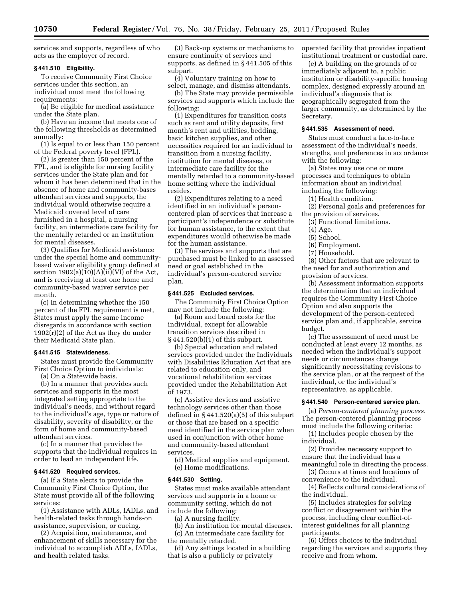services and supports, regardless of who acts as the employer of record.

#### **§ 441.510 Eligibility.**

To receive Community First Choice services under this section, an individual must meet the following requirements:

(a) Be eligible for medical assistance under the State plan.

(b) Have an income that meets one of the following thresholds as determined annually:

(1) Is equal to or less than 150 percent of the Federal poverty level (FPL).

(2) Is greater than 150 percent of the FPL, and is eligible for nursing facility services under the State plan and for whom it has been determined that in the absence of home and community-bases attendant services and supports, the individual would otherwise require a Medicaid covered level of care furnished in a hospital, a nursing facility, an intermediate care facility for the mentally retarded or an institution for mental diseases.

(3) Qualifies for Medicaid assistance under the special home and communitybased waiver eligibility group defined at section  $1902(a)(10)(A)(ii)(VI)$  of the Act, and is receiving at least one home and community-based waiver service per month.

(c) In determining whether the 150 percent of the FPL requirement is met, States must apply the same income disregards in accordance with section 1902(r)(2) of the Act as they do under their Medicaid State plan.

#### **§ 441.515 Statewideness.**

States must provide the Community First Choice Option to individuals:

(a) On a Statewide basis.

(b) In a manner that provides such services and supports in the most integrated setting appropriate to the individual's needs, and without regard to the individual's age, type or nature of disability, severity of disability, or the form of home and community-based attendant services.

(c) In a manner that provides the supports that the individual requires in order to lead an independent life.

#### **§ 441.520 Required services.**

(a) If a State elects to provide the Community First Choice Option, the State must provide all of the following services:

(1) Assistance with ADLs, IADLs, and health-related tasks through hands-on assistance, supervision, or cueing.

(2) Acquisition, maintenance, and enhancement of skills necessary for the individual to accomplish ADLs, IADLs, and health related tasks.

(3) Back-up systems or mechanisms to ensure continuity of services and supports, as defined in § 441.505 of this subpart.

(4) Voluntary training on how to select, manage, and dismiss attendants.

(b) The State may provide permissible services and supports which include the following:

(1) Expenditures for transition costs such as rent and utility deposits, first month's rent and utilities, bedding, basic kitchen supplies, and other necessities required for an individual to transition from a nursing facility, institution for mental diseases, or intermediate care facility for the mentally retarded to a community-based home setting where the individual resides.

(2) Expenditures relating to a need identified in an individual's personcentered plan of services that increase a participant's independence or substitute for human assistance, to the extent that expenditures would otherwise be made for the human assistance.

(3) The services and supports that are purchased must be linked to an assessed need or goal established in the individual's person-centered service plan.

#### **§ 441.525 Excluded services.**

The Community First Choice Option may not include the following:

(a) Room and board costs for the individual, except for allowable transition services described in § 441.520(b)(1) of this subpart.

(b) Special education and related services provided under the Individuals with Disabilities Education Act that are related to education only, and vocational rehabilitation services provided under the Rehabilitation Act of 1973.

(c) Assistive devices and assistive technology services other than those defined in § 441.520(a)(5) of this subpart or those that are based on a specific need identified in the service plan when used in conjunction with other home and community-based attendant services.

(d) Medical supplies and equipment. (e) Home modifications.

#### **§ 441.530 Setting.**

States must make available attendant services and supports in a home or community setting, which do not include the following:

(a) A nursing facility.

(b) An institution for mental diseases.

(c) An intermediate care facility for

the mentally retarded.

(d) Any settings located in a building that is also a publicly or privately

operated facility that provides inpatient institutional treatment or custodial care.

(e) A building on the grounds of or immediately adjacent to, a public institution or disability-specific housing complex, designed expressly around an individual's diagnosis that is geographically segregated from the larger community, as determined by the Secretary.

#### **§ 441.535 Assessment of need.**

States must conduct a face-to-face assessment of the individual's needs, strengths, and preferences in accordance with the following:

(a) States may use one or more processes and techniques to obtain information about an individual including the following:

(1) Health condition.

(2) Personal goals and preferences for the provision of services.

(3) Functional limitations.

- (4) Age.
- (5) School.

(6) Employment.

(7) Household.

(8) Other factors that are relevant to the need for and authorization and provision of services.

(b) Assessment information supports the determination that an individual requires the Community First Choice Option and also supports the development of the person-centered service plan and, if applicable, service budget.

(c) The assessment of need must be conducted at least every 12 months, as needed when the individual's support needs or circumstances change significantly necessitating revisions to the service plan, or at the request of the individual, or the individual's representative, as applicable.

#### **§ 441.540 Person-centered service plan.**

(a) *Person-centered planning process.*  The person-centered planning process must include the following criteria:

(1) Includes people chosen by the individual.

(2) Provides necessary support to ensure that the individual has a meaningful role in directing the process.

(3) Occurs at times and locations of

convenience to the individual. (4) Reflects cultural considerations of

the individual. (5) Includes strategies for solving

conflict or disagreement within the process, including clear conflict-ofinterest guidelines for all planning participants.

(6) Offers choices to the individual regarding the services and supports they receive and from whom.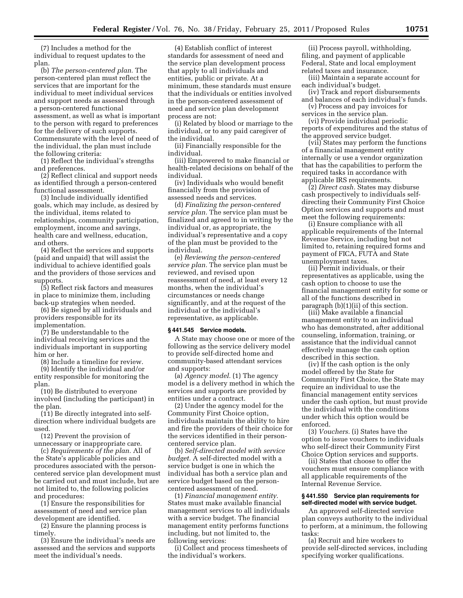(7) Includes a method for the individual to request updates to the plan.

(b) *The person-centered plan.* The person-centered plan must reflect the services that are important for the individual to meet individual services and support needs as assessed through a person-centered functional assessment, as well as what is important to the person with regard to preferences for the delivery of such supports. Commensurate with the level of need of the individual, the plan must include the following criteria:

(1) Reflect the individual's strengths and preferences.

(2) Reflect clinical and support needs as identified through a person-centered functional assessment.

(3) Include individually identified goals, which may include, as desired by the individual, items related to relationships, community participation, employment, income and savings, health care and wellness, education, and others.

(4) Reflect the services and supports (paid and unpaid) that will assist the individual to achieve identified goals and the providers of those services and supports.

(5) Reflect risk factors and measures in place to minimize them, including back-up strategies when needed.

(6) Be signed by all individuals and providers responsible for its implementation.

(7) Be understandable to the individual receiving services and the individuals important in supporting him or her.

(8) Include a timeline for review.

(9) Identify the individual and/or entity responsible for monitoring the plan.

(10) Be distributed to everyone involved (including the participant) in the plan.

(11) Be directly integrated into selfdirection where individual budgets are used.

(12) Prevent the provision of unnecessary or inappropriate care.

(c) *Requirements of the plan.* All of the State's applicable policies and procedures associated with the personcentered service plan development must be carried out and must include, but are not limited to, the following policies and procedures:

(1) Ensure the responsibilities for assessment of need and service plan development are identified.

(2) Ensure the planning process is timely.

(3) Ensure the individual's needs are assessed and the services and supports meet the individual's needs.

(4) Establish conflict of interest standards for assessment of need and the service plan development process that apply to all individuals and entities, public or private. At a minimum, these standards must ensure that the individuals or entities involved in the person-centered assessment of need and service plan development process are not:

(i) Related by blood or marriage to the individual, or to any paid caregiver of the individual.

(ii) Financially responsible for the individual.

(iii) Empowered to make financial or health-related decisions on behalf of the individual.

(iv) Individuals who would benefit financially from the provision of assessed needs and services.

(d) *Finalizing the person-centered service plan.* The service plan must be finalized and agreed to in writing by the individual or, as appropriate, the individual's representative and a copy of the plan must be provided to the individual.

(e) *Reviewing the person-centered service plan.* The service plan must be reviewed, and revised upon reassessment of need, at least every 12 months, when the individual's circumstances or needs change significantly, and at the request of the individual or the individual's representative, as applicable.

#### **§ 441.545 Service models.**

A State may choose one or more of the following as the service delivery model to provide self-directed home and community-based attendant services and supports:

(a) *Agency model.* (1) The agency model is a delivery method in which the services and supports are provided by entities under a contract.

(2) Under the agency model for the Community First Choice option, individuals maintain the ability to hire and fire the providers of their choice for the services identified in their personcentered service plan.

(b) *Self-directed model with service budget.* A self-directed model with a service budget is one in which the individual has both a service plan and service budget based on the personcentered assessment of need.

(1) *Financial management entity.*  States must make available financial management services to all individuals with a service budget. The financial management entity performs functions including, but not limited to, the following services:

(i) Collect and process timesheets of the individual's workers.

(ii) Process payroll, withholding, filing, and payment of applicable Federal, State and local employment related taxes and insurance.

(iii) Maintain a separate account for each individual's budget.

(iv) Track and report disbursements and balances of each individual's funds.

(v) Process and pay invoices for services in the service plan.

(vi) Provide individual periodic reports of expenditures and the status of the approved service budget.

(vii) States may perform the functions of a financial management entity internally or use a vendor organization that has the capabilities to perform the required tasks in accordance with applicable IRS requirements.

(2) *Direct cash.* States may disburse cash prospectively to individuals selfdirecting their Community First Choice Option services and supports and must meet the following requirements:

(i) Ensure compliance with all applicable requirements of the Internal Revenue Service, including but not limited to, retaining required forms and payment of FICA, FUTA and State unemployment taxes.

(ii) Permit individuals, or their representatives as applicable, using the cash option to choose to use the financial management entity for some or all of the functions described in paragraph (b)(1)(ii) of this section.

(iii) Make available a financial management entity to an individual who has demonstrated, after additional counseling, information, training, or assistance that the individual cannot effectively manage the cash option described in this section.

(iv) If the cash option is the only model offered by the State for Community First Choice, the State may require an individual to use the financial management entity services under the cash option, but must provide the individual with the conditions under which this option would be enforced.

(3) *Vouchers.* (i) States have the option to issue vouchers to individuals who self-direct their Community First Choice Option services and supports.

(ii) States that choose to offer the vouchers must ensure compliance with all applicable requirements of the Internal Revenue Service.

#### **§ 441.550 Service plan requirements for self-directed model with service budget.**

An approved self-directed service plan conveys authority to the individual to perform, at a minimum, the following tasks:

(a) Recruit and hire workers to provide self-directed services, including specifying worker qualifications.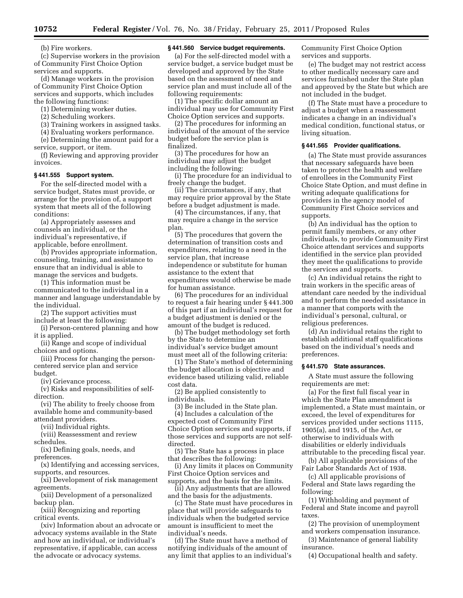(b) Fire workers.

(c) Supervise workers in the provision of Community First Choice Option services and supports.

(d) Manage workers in the provision of Community First Choice Option services and supports, which includes the following functions:

(1) Determining worker duties.

(2) Scheduling workers.

(3) Training workers in assigned tasks.

(4) Evaluating workers performance.

(e) Determining the amount paid for a service, support, or item.

(f) Reviewing and approving provider invoices.

#### **§ 441.555 Support system.**

For the self-directed model with a service budget, States must provide, or arrange for the provision of, a support system that meets all of the following conditions:

(a) Appropriately assesses and counsels an individual, or the individual's representative, if applicable, before enrollment.

(b) Provides appropriate information, counseling, training, and assistance to ensure that an individual is able to manage the services and budgets.

(1) This information must be communicated to the individual in a manner and language understandable by the individual.

(2) The support activities must include at least the following:

(i) Person-centered planning and how it is applied.

(ii) Range and scope of individual choices and options.

(iii) Process for changing the personcentered service plan and service budget.

(iv) Grievance process.

(v) Risks and responsibilities of selfdirection.

(vi) The ability to freely choose from available home and community-based attendant providers.

(vii) Individual rights.

(viii) Reassessment and review schedules.

(ix) Defining goals, needs, and preferences.

(x) Identifying and accessing services, supports, and resources.

(xi) Development of risk management agreements.

(xii) Development of a personalized backup plan.

(xiii) Recognizing and reporting critical events.

(xiv) Information about an advocate or advocacy systems available in the State and how an individual, or individual's representative, if applicable, can access the advocate or advocacy systems.

#### **§ 441.560 Service budget requirements.**

(a) For the self-directed model with a service budget, a service budget must be developed and approved by the State based on the assessment of need and service plan and must include all of the following requirements:

(1) The specific dollar amount an individual may use for Community First Choice Option services and supports.

(2) The procedures for informing an individual of the amount of the service budget before the service plan is finalized.

(3) The procedures for how an individual may adjust the budget including the following:

(i) The procedure for an individual to freely change the budget.

(ii) The circumstances, if any, that may require prior approval by the State before a budget adjustment is made.

(4) The circumstances, if any, that may require a change in the service plan.

(5) The procedures that govern the determination of transition costs and expenditures, relating to a need in the service plan, that increase independence or substitute for human assistance to the extent that expenditures would otherwise be made for human assistance.

(6) The procedures for an individual to request a fair hearing under § 441.300 of this part if an individual's request for a budget adjustment is denied or the amount of the budget is reduced.

(b) The budget methodology set forth by the State to determine an individual's service budget amount must meet all of the following criteria:

(1) The State's method of determining the budget allocation is objective and evidence based utilizing valid, reliable cost data.

(2) Be applied consistently to individuals.

(3) Be included in the State plan.

(4) Includes a calculation of the expected cost of Community First Choice Option services and supports, if those services and supports are not selfdirected.

(5) The State has a process in place that describes the following:

(i) Any limits it places on Community First Choice Option services and supports, and the basis for the limits.

(ii) Any adjustments that are allowed and the basis for the adjustments.

(c) The State must have procedures in place that will provide safeguards to individuals when the budgeted service amount is insufficient to meet the individual's needs.

(d) The State must have a method of notifying individuals of the amount of any limit that applies to an individual's Community First Choice Option services and supports.

(e) The budget may not restrict access to other medically necessary care and services furnished under the State plan and approved by the State but which are not included in the budget.

(f) The State must have a procedure to adjust a budget when a reassessment indicates a change in an individual's medical condition, functional status, or living situation.

#### **§ 441.565 Provider qualifications.**

(a) The State must provide assurances that necessary safeguards have been taken to protect the health and welfare of enrollees in the Community First Choice State Option, and must define in writing adequate qualifications for providers in the agency model of Community First Choice services and supports.

(b) An individual has the option to permit family members, or any other individuals, to provide Community First Choice attendant services and supports identified in the service plan provided they meet the qualifications to provide the services and supports.

(c) An individual retains the right to train workers in the specific areas of attendant care needed by the individual and to perform the needed assistance in a manner that comports with the individual's personal, cultural, or religious preferences.

(d) An individual retains the right to establish additional staff qualifications based on the individual's needs and preferences.

#### **§ 441.570 State assurances.**

A State must assure the following requirements are met:

(a) For the first full fiscal year in which the State Plan amendment is implemented, a State must maintain, or exceed, the level of expenditures for services provided under sections 1115, 1905(a), and 1915, of the Act, or otherwise to individuals with disabilities or elderly individuals attributable to the preceding fiscal year.

(b) All applicable provisions of the Fair Labor Standards Act of 1938.

(c) All applicable provisions of Federal and State laws regarding the following:

(1) Withholding and payment of Federal and State income and payroll taxes.

(2) The provision of unemployment and workers compensation insurance.

(3) Maintenance of general liability insurance.

(4) Occupational health and safety.